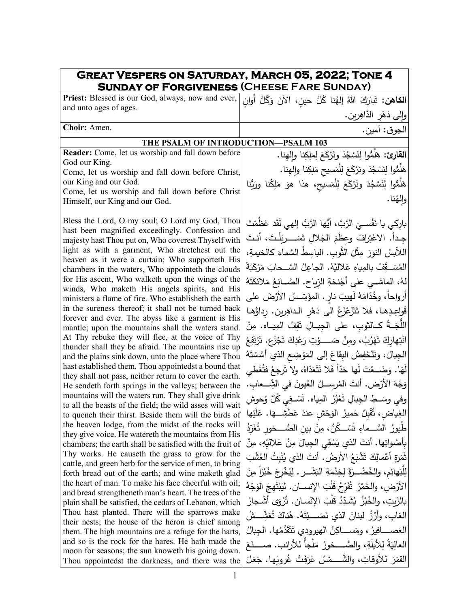## **Great Vespers on Saturday, March 05, 2022; Tone 4 Sunday of Forgiveness (Cheese Fare Sunday)**

ا**لكاهن:** تَبارَكَ اللهُ إلهُنا كُلَّ حينٍ، الآنَ وَكُلَّ أُوانٍ وإِلى دَهْرِ الدَّاهِرين. <u>ٔ</u> **Priest:** Blessed is our God, always, now and ever, and unto ages of ages. الجوق: آمین. .Amen **:Choir**

## **THE PSALM OF INTRODUCTION—PSALM 103**

**Reader:** Come, let us worship and fall down before God our King. Come, let us worship and fall down before Christ,

our King and our God. Come, let us worship and fall down before Christ Himself, our King and our God.

Bless the Lord, O my soul; O Lord my God, Thou hast been magnified exceedingly. Confession and majesty hast Thou put on, Who coverest Thyself with light as with a garment, Who stretchest out the heaven as it were a curtain; Who supporteth His chambers in the waters, Who appointeth the clouds for His ascent, Who walketh upon the wings of the winds, Who maketh His angels spirits, and His ministers a flame of fire. Who establisheth the earth in the sureness thereof; it shall not be turned back forever and ever. The abyss like a garment is His mantle; upon the mountains shall the waters stand. At Thy rebuke they will flee, at the voice of Thy thunder shall they be afraid. The mountains rise up and the plains sink down, unto the place where Thou hast established them. Thou appointedst a bound that they shall not pass, neither return to cover the earth. He sendeth forth springs in the valleys; between the mountains will the waters run. They shall give drink to all the beasts of the field; the wild asses will wait to quench their thirst. Beside them will the birds of the heaven lodge, from the midst of the rocks will they give voice. He watereth the mountains from His chambers; the earth shall be satisfied with the fruit of Thy works. He causeth the grass to grow for the cattle, and green herb for the service of men, to bring forth bread out of the earth; and wine maketh glad the heart of man. To make his face cheerful with oil; and bread strengtheneth man's heart. The trees of the plain shall be satisfied, the cedars of Lebanon, which Thou hast planted. There will the sparrows make their nests; the house of the heron is chief among them. The high mountains are a refuge for the harts, and so is the rock for the hares. He hath made the moon for seasons; the sun knoweth his going down. Thou appointedst the darkness, and there was the

ا**لقارئ:** هَلُمُّوا لِنَسْجُدَ ونَرْكَعَ لِمَلِكِنا وإِلمِنا.<br>' هَلُمُّوا لِنَسْجُدَ ونَرْكَعَ لِلْمَسيحِ مَلِكِنا وإِلمِنا. </sub> هَلُمُّوا لِنَسْجُدَ ونَرْكَعَ لِلْمَسيحِ، هذا هوَ مَلِكُنا ورَبُّنا ۖ والِهُنا. بارِكي يا نَفْســيَ الرَّبَّ، أَيُّها الرَّبُّ إلهي لَقَد عَظَمْتَ<br>مَّذَ يَبْدُونَ مَنْ الرَّبَّ، الْمَسَاءَ جِـداً. الاعْتِرافَ وعِظَمَ الجَلالِ تَسَـــــربَلْـتَ، أنـتَ اللاَّبِسُ النورَ مِثْلَ الثَّوبِ. الباسِطُ السَّماءَ كالخيمةِ،<br>· المُسَـــقِّفُ بالمِياهِ عَلاليَّهُ. الجاعِلُ السَّــحابَ مَرْكَبَةً<br>. لهُ، الماشــي على أَجْنحَةِ الرِّياحِ. الصَّــانِعُ مَلائكَتَهُ<br>ُ أرواحاً، وخُدّامَهُ لَهيبَ نارٍ . المؤَسِّسُ الأَرْضَ على |<br>ِ قَواعِدِها، فلا تَتَزَعْزَعُ الى دَهْرِ الداهِرين. رِداؤُها | ا<br>أ .<br>-اللُّجَــةُ كــالثوبِ، على الجِبــالِ تَقِفُ المِيــاه. مِنْ انْتِهارِكَ تَهْرُبُ، ومِنْ صَـــــوْتِ رَعْدِكَ تَجْزَع. تَرْتَفِعُ<br>ا ْ .<br>ا الْجِبالَ، وتَتْخَفِضُ البِقاعَ إلى المَوْضِعِ الذي أَسَّسْتَهُ لَهَا. وَضَــعْتَ لَها حَدّاً فَلا تَتَعَدّاهُ، ولا تَرجِعُ فتُغَطي | وَجْهَ الأَرْضِ. أنتَ المُرسِـــلُ العُيونَ في الشِّـــعابِ. |<br>-ُ ُ َّل و ِي � َســـــ ْ ق ِ�اه. ت ُ الم ُر ب َع وفي وســـــ ِ حوش َ ِط ِ الج ِ �ال ت ْ الغِياضِ، تُقْبِلُ حَميرُ الوَحْشِ عندَ عَطَشِـــهَا. عَلَيْها |<br>| طُيورُ السَّــماءِ تَسْــكُنُ، مِنْ بينِ الصُّـــخورِ تُغَرِّدُ<br>-<u>:</u> بِأَصْواتِها. أنتَ الذي يَسْقِي الْجِبالَ مِنْ عَلاليِّهِ، مِنْ ثَمَرَةِ أَعْمالِكَ تَشْبَعُ الأرضُ. أنتَ الذي يُنْبِتُ العُشْبَ<br>\* <u>ٔ</u> َ َه ْلب ِ َ ل ِن ً م ْزا ُب َ خ ُ ْخِرج �ِ َشـــــــ َ ر. ل ِ ال� َة ْم ِ ِخد َ ل ة َ ُضـــــــ ْ رِ ِم، والخ ائ الأَرْضِ، والخَمْرُ تُقَرِّحُ قَلْبَ الإِنســـان. ليَبْتَهِجَ الوَجْهُ<br>. ْ ُ َى أشــ ْ جار ْ و ُر ْســان. ت َ الإن َْلب ُ ق ِد ّ ُشــ َ د � ُ ْز ُب َ ِ �ت، والخ �الز الغابِ، وأرْزُ لبنانَ الذي نَصَـــبْتَهُ. هُناكَ تُعَشِّـــشُ ْ العَصــــــافيرُ ، ومَســــــاكِنُ الـهيرودي تَتَقَدَّمُها. الـجِبالُ<br>مصمح المسيح العالِيَةُ لِلأَيلَةِ، والصُّـــخورُ مَلْجأٌ للأرانب. صــــنَعَ القمَرَ للأوقاتِ، والشَّـــــمْسُ عَرَفَتْ غُروبَها. جَعَلَ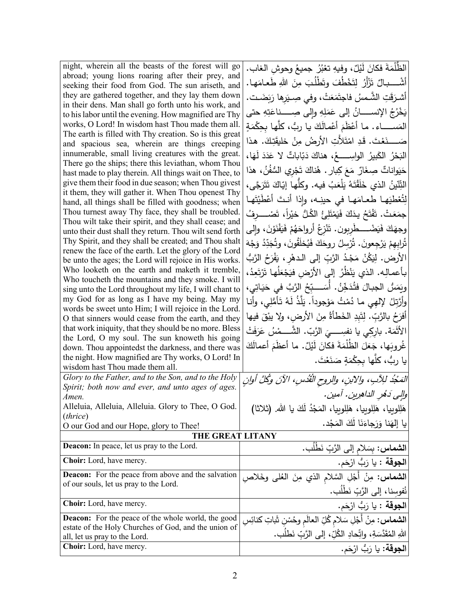| night, wherein all the beasts of the forest will go                                                             | الظُّلْمَةَ فكانَ لَيْلٌ، وفيهِ تعْبُرُ جميعُ وحوشِ الـغاب.                |
|-----------------------------------------------------------------------------------------------------------------|----------------------------------------------------------------------------|
| abroad; young lions roaring after their prey, and                                                               | أَشْــــــبالٌ تَزْأَرُ لِتَخْطُفَ وتَطْلُبَ مِنَ اللهِ طَعـامَهـا.        |
| seeking their food from God. The sun ariseth, and                                                               |                                                                            |
| they are gathered together, and they lay them down<br>in their dens. Man shall go forth unto his work, and      | أشرَقَتِ الشَّمسُ فاجتَمَعَتْ، وفي صِـيَرها رَبَضَـت.                      |
| to his labor until the evening. How magnified are Thy                                                           | يَخْرُجُ الإِنســـــانُ إِلَى عَمَلِهِ وإِلَى صِـــــناعَتِهِ حتى          |
| works, O Lord! In wisdom hast Thou made them all.                                                               | المَســـــــاء . مـا أَعْظَمَ أَعْمـالَكَ يـا ربُّ، كلُّهـا بـحِكْمَةٍ     |
| The earth is filled with Thy creation. So is this great                                                         |                                                                            |
| and spacious sea, wherein are things creeping                                                                   | صَــــــنَعْتَ. قَدِ امْتَلأَتِ الأَرضُ مِنْ خَليقَتِكَ. هذا               |
| innumerable, small living creatures with the great.                                                             | الْبَحْرُ الكَبِيرُ الواسِـــــعُ، هناكَ دَبّاباتٌ لا عَدَدَ لَهَا،        |
| There go the ships; there this leviathan, whom Thou<br>hast made to play therein. All things wait on Thee, to   | حَيَواناتٌ صِغَارٌ مَعَ كِبارٍ . هُناكَ تَجْرِي السُّفُنُ، هذا             |
| give them their food in due season; when Thou givest                                                            |                                                                            |
| it them, they will gather it. When Thou openest Thy                                                             | التِّنّينُ الذي خَلَقْتَهُ يَلْعَبُ فيه. وكلّها إيّاكَ تَتَرَجَّى،         |
| hand, all things shall be filled with goodness; when                                                            | لِتُعْطِيَهِا طعامَها في حينِه، وإذا أنتَ أَعْطَيْتَها                     |
| Thou turnest away Thy face, they shall be troubled.                                                             | جمَعَتْ. تَفْتَحُ يدَكَ فَيَمْتَلِئُ الْكُلُّ خَيْراً، تَصْـــــرفُ        |
| Thou wilt take their spirit, and they shall cease; and                                                          | وجهَكَ فَيَضْــــطّْرِيون. تَنْزِعُ أَرواحَهُمْ فَيَفْنَوْنَ، والى         |
| unto their dust shall they return. Thou wilt send forth                                                         |                                                                            |
| Thy Spirit, and they shall be created; and Thou shalt<br>renew the face of the earth. Let the glory of the Lord | تُرابهمْ يَرْجِعونَ. تُرْسِلُ روحَكَ فَيُخلَقُونَ، وتُجَدِّدُ وَجْهَ       |
| be unto the ages; the Lord will rejoice in His works.                                                           | الأرض. لِيَكُنْ مَجْدُ الرَّبِّ إِلَى الدهْرِ ، يَفْرَحُ الرَّبُّ          |
| Who looketh on the earth and maketh it tremble,                                                                 |                                                                            |
| Who toucheth the mountains and they smoke. I will                                                               | بأعمالِه. الذي يَنْظُرُ إلى الأَرْضِ فيَجْعَلُها تَرْتَعِدُ،               |
| sing unto the Lord throughout my life, I will chant to                                                          | ويَمَسُّ الجبـالَ فَتُدَخِّنُ. أَسَـــبِّحُ الرَّبَّ في حَيَـاتِي،         |
| my God for as long as I have my being. May my                                                                   | وأَرَّتِلُ لِإِلهِي ما دُمْتُ مَوْجوداً. يَلَّذُ لَهُ تَأْمُلِي، وأنا      |
| words be sweet unto Him; I will rejoice in the Lord.                                                            |                                                                            |
| O that sinners would cease from the earth, and they                                                             | أَفْرَحُ بِالرَّبِّ. لِتَبِدِ الْخَطَأَةُ مِنَ الأَرضِ، ولا يبْقَ فيها     |
| that work iniquity, that they should be no more. Bless                                                          | الأَثْمَة. بارِكِي يا نفسِــــيَ الرَّبّ. الشَّــــمْسُ عَرَفَتْ           |
| the Lord, O my soul. The sun knoweth his going<br>down. Thou appointedst the darkness, and there was            | غُروبَها، جَعَلَ الظُلْمَةَ فكانَ لَيْلٌ. ما أعظَمَ أعمالَكَ               |
| the night. How magnified are Thy works, O Lord! In                                                              | يا ربُّ، كلَّها بحِكْمَةٍ صَنَعْتَ.                                        |
| wisdom hast Thou made them all.                                                                                 |                                                                            |
| Glory to the Father, and to the Son, and to the Holy                                                            | المَجْدُ للِآبِ، والآبنِ، والروحِ الْقُدْسِ، الآنَ وكُلَّ أُولنِ           |
| Spirit; both now and ever, and unto ages of ages.                                                               |                                                                            |
| Amen.                                                                                                           | والِي دَهُرِ الداهِرِينِ. أمين.                                            |
| Alleluia, Alleluia, Alleluia. Glory to Thee, O God.                                                             | هَلِلوبِيا، هَلِلوبِيا، هَلِلوبِيا، المَجْدُ لَكَ يا الله. (ثلاثا)         |
| (thrice)<br>O our God and our Hope, glory to Thee!                                                              | يا إلهَنا وَرَجاءَنَا لَكَ المَجْد.                                        |
| <b>THE GREAT LITANY</b>                                                                                         |                                                                            |
| Deacon: In peace, let us pray to the Lord.                                                                      | ال <b>شماس:</b> بِسَلام إلى الرَّبِّ نَطْلُب.                              |
| Choir: Lord, have mercy.                                                                                        | ا <b>لجوقة</b> : يا رَبُّ ارْحَم.                                          |
| <b>Deacon:</b> For the peace from above and the salvation                                                       |                                                                            |
| of our souls, let us pray to the Lord.                                                                          | <b>الشماس:</b> مِنْ أَجْلِ السَّلام الذي مِنَ العُل <sub>ِّي</sub> وخَلاصِ |
|                                                                                                                 | نُفوسِنا، إلى الرَّبِّ نَطْلُبٍ.                                           |
| Choir: Lord, have mercy.                                                                                        | ا <b>لجوقة</b> : يا رَبُّ ارْحَم.                                          |
| <b>Deacon:</b> For the peace of the whole world, the good                                                       | ا <b>لشماس:</b> مِنْ أَجْلِ سَلام كُلِّ العالَم وحُسْنِ شَاتِ كنائِسِ      |
| estate of the Holy Churches of God, and the union of<br>all, let us pray to the Lord.                           | اللهِ المُقَدَّسَةِ، واتِّحادِ الكُلِّ، إلى الرَّبِّ نَطلُب.               |
| Choir: Lord, have mercy.                                                                                        | ا <b>لجوقة:</b> يا رَبُّ ارْحَم.                                           |
|                                                                                                                 |                                                                            |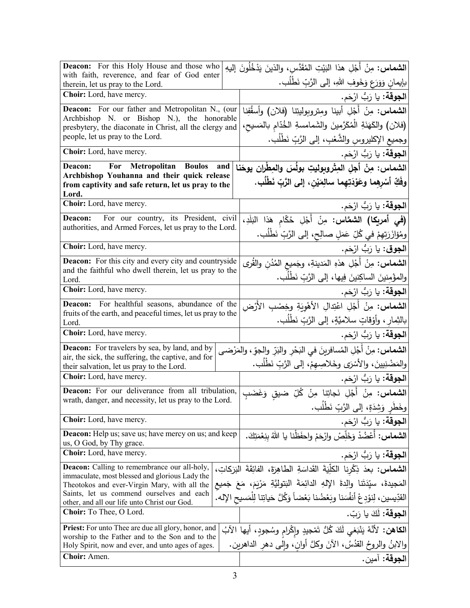| <b>Deacon:</b> For this Holy House and those who                                                           |     | ا <b>لشماس:</b> مِنْ أَجْلِ هذا النَيْتِ المُقَدَّس، والذينَ يَدْخُلُونَ إليهِ                                             |
|------------------------------------------------------------------------------------------------------------|-----|----------------------------------------------------------------------------------------------------------------------------|
| with faith, reverence, and fear of God enter                                                               |     | بإيمانٍ وَوَرَعٍ وَخَوفِ اللهِ، إلى الرَّبِّ نَطْلُبٍ.                                                                     |
| therein, let us pray to the Lord.<br>Choir: Lord, have mercy.                                              |     |                                                                                                                            |
|                                                                                                            |     | ا <b>لجوقة:</b> يا رَبُّ ارْحَم.                                                                                           |
| Deacon: For our father and Metropolitan N., (our<br>Archbishop N. or Bishop N.), the honorable             |     | الشماس: مِنْ أَجْلِ أبينا ومِتروبوليتِنا (فلان) وأسقُفِنا                                                                  |
| presbytery, the diaconate in Christ, all the clergy and                                                    |     | (فلان) والكَهَنَةِ الْمُكَرَّمينَ والشَمامسةِ الخُدّام بالمَسيح،                                                           |
| people, let us pray to the Lord.                                                                           |     | وجميع الإكليروسِ والشَّعْبِ، إلى الرَّبِّ نَطْلُب.                                                                         |
| Choir: Lord, have mercy.                                                                                   |     | ا <b>لجوقة:</b> يا رَبُّ ارْحَم.                                                                                           |
| For Metropolitan<br>Deacon:<br><b>Boulos</b>                                                               | and | الشماس: مِنْ أجلِ المِتْروبِوليتِ بولُسَ والمِطْرانِ يوحَنا                                                                |
| Archbishop Youhanna and their quick release<br>from captivity and safe return, let us pray to the<br>Lord. |     | وفَكِّ أَسْرِهِما وعَوْدَتِهِما سالِمَيْنِ، إلى الرَّبِّ نَطْلُبٍ.                                                         |
| Choir: Lord, have mercy.                                                                                   |     | ا <b>لجوقة:</b> يا رَبُّ ارْحَم.                                                                                           |
| For our country, its President, civil<br>Deacon:                                                           |     | (في أمريكا) الشعَّاس: مِنْ أَجْلِ حُكّام هَذا البَلَدِ،                                                                    |
| authorities, and Armed Forces, let us pray to the Lord.                                                    |     | ومُؤازَرَتِهِمْ في كُلِّ عَمَلٍ صالِحٍ، إلى الرَّبِّ نَطْلُب.                                                              |
| Choir: Lord, have mercy.                                                                                   |     | ا <b>لجوق</b> : يا رَبُّ ارْحَم.                                                                                           |
| <b>Deacon:</b> For this city and every city and countryside                                                |     | ا <b>لشماس:</b> مِنْ أَجْلِ هذهِ المَدينةِ، وجَميع المُدُنِ والقُرى                                                        |
| and the faithful who dwell therein, let us pray to the<br>Lord.                                            |     | والمؤْمِنينَ الساكِنينَ فِيها، إلى الرَّبِّ نَطْلُبٍ.                                                                      |
| Choir: Lord, have mercy.                                                                                   |     | ا <b>لجوقة:</b> يا رَبُّ ارْحَم.                                                                                           |
| Deacon: For healthful seasons, abundance of the                                                            |     | <b>الشماس:</b> مِنْ أَجْلِ اعْتِدالِ الأَهْوِيَةِ وخِصْبِ الأَرْضِ                                                         |
| fruits of the earth, and peaceful times, let us pray to the                                                |     | بالنِّمار ، وأوْقاتٍ سلاميَّةٍ، إلى الرَّبِّ نَطْلُبٍ.                                                                     |
| Lord.<br>Choir: Lord, have mercy.                                                                          |     |                                                                                                                            |
|                                                                                                            |     | ا <b>لجوقة:</b> يا رَبُّ ارْحَم.                                                                                           |
| <b>Deacon:</b> For travelers by sea, by land, and by<br>air, the sick, the suffering, the captive, and for |     | ا <b>لشماس:</b> مِنْ أَجْلِ المُسافرينَ في البَحْرِ والبَرِّ والجوِّ ، والمَرْضـى                                          |
| their salvation, let us pray to the Lord.                                                                  |     | والمَضْنِيينَ، والأَسْرَى وخَلاصِهِمْ، إلى الرَّبِّ نَطْلُبٍ.                                                              |
| <b>Choir:</b> Lord, have mercy.                                                                            |     | ا <b>لجوقة:</b> يا رَبُّ ارْحَم.                                                                                           |
| Deacon: For our deliverance from all tribulation,                                                          |     | <b>الشماس:</b> مِنْ أَجْلِ نَجاتِنا مِنْ كُلِّ ضيقِ وَغَضَبِ                                                               |
| wrath, danger, and necessity, let us pray to the Lord.                                                     |     | وخَطْرِ وَشِدَةٍ، إِلَى الرَّبِّ نَطْلب.                                                                                   |
| Choir: Lord, have mercy.                                                                                   |     | ا <b>لجوقة:</b> يا رَبُّ ارْحَم.                                                                                           |
| <b>Deacon:</b> Help us; save us; have mercy on us; and keep                                                |     | ال <b>شماس:</b> أَعْضُدْ وَخَلِّصْ وارْحَمْ واحفَظْنا يا اللهُ بِنِعْمَتِكَ.                                               |
| us, O God, by Thy grace.                                                                                   |     |                                                                                                                            |
| Choir: Lord, have mercy.                                                                                   |     | ا <b>لجوقة:</b> يا رَبُّ ارْحَم.<br>ا <b>لشماس:</b> بعدَ ذِكْرِنا الكلِّيَةَ القَداسَةِ الطاهِرَةَ، الفائِقَةَ البَرَكاتِ، |
| <b>Deacon:</b> Calling to remembrance our all-holy,<br>immaculate, most blessed and glorious Lady the      |     |                                                                                                                            |
| Theotokos and ever-Virgin Mary, with all the                                                               |     | المَجيدةَ، سيِّدَتَنا والِدةَ اﻹلهِ الدائِمَةَ البَتوليَّةِ مَرْيَمَ، مَعَ جَميع                                           |
| Saints, let us commend ourselves and each<br>other, and all our life unto Christ our God.                  |     | القدِّيسين، لِنوْدِعْ أَنفُسَنا وبَعْضُنا بَعْضاً وَكُلَّ حَياتِنا لِلْمَسيحِ الإِله.                                      |
| Choir: To Thee, O Lord.                                                                                    |     | ا <b>لجوقة:</b> لَكَ يا رَبّ.                                                                                              |
| <b>Priest:</b> For unto Thee are due all glory, honor, and                                                 |     | ا <b>لكاهن:</b> لأنَّهُ يَنْبَغي لَكَ كُلُّ تَمْجِيدٍ وإِكْرامٍ وسُجودٍ، أيها الآبُ                                        |
| worship to the Father and to the Son and to the<br>Holy Spirit, now and ever, and unto ages of ages.       |     | والابنُ والروحُ القدُسُ، الآنَ وكلَّ أوانٍ، وإلى دهر الداهرينِ.                                                            |
| Choir: Amen.                                                                                               |     | الجوقة: آمين.                                                                                                              |
|                                                                                                            |     |                                                                                                                            |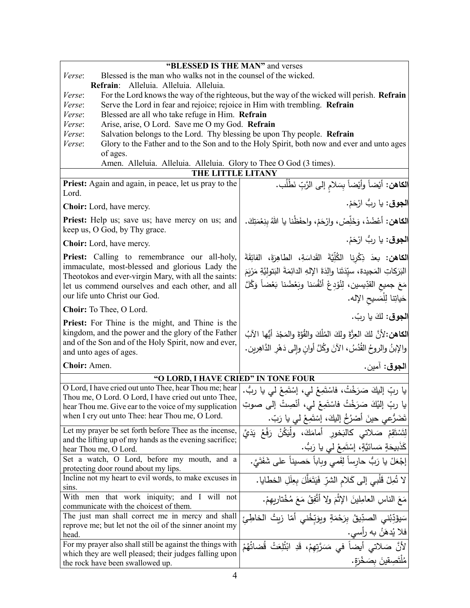| "BLESSED IS THE MAN" and verses                                                                                    |                                                                                             |
|--------------------------------------------------------------------------------------------------------------------|---------------------------------------------------------------------------------------------|
| Blessed is the man who walks not in the counsel of the wicked.<br>Verse:                                           |                                                                                             |
| Refrain: Alleluia. Alleluia. Alleluia.                                                                             |                                                                                             |
| Verse:                                                                                                             | For the Lord knows the way of the righteous, but the way of the wicked will perish. Refrain |
| Verse:<br>Serve the Lord in fear and rejoice; rejoice in Him with trembling. Refrain                               |                                                                                             |
| Blessed are all who take refuge in Him. Refrain<br>Verse:                                                          |                                                                                             |
| Arise, arise, O Lord. Save me O my God. Refrain<br>Verse:                                                          |                                                                                             |
| Salvation belongs to the Lord. Thy blessing be upon Thy people. Refrain<br>Verse:                                  |                                                                                             |
| Glory to the Father and to the Son and to the Holy Spirit, both now and ever and unto ages<br>Verse:               |                                                                                             |
| of ages.                                                                                                           |                                                                                             |
| Amen. Alleluia. Alleluia. Alleluia. Glory to Thee O God (3 times).                                                 |                                                                                             |
| THE LITTLE LITANY                                                                                                  |                                                                                             |
| <b>Priest:</b> Again and again, in peace, let us pray to the                                                       | <b>الكاهن:</b> أَيْضاً وأَيْضاً بِسَلام إلى الرَّبِّ نَطْلُب.                               |
| Lord.                                                                                                              |                                                                                             |
| <b>Choir:</b> Lord, have mercy.                                                                                    | ا <b>لجوق</b> : يا ربُ ارْحَمْ.                                                             |
| <b>Priest:</b> Help us; save us; have mercy on us; and<br>keep us, O God, by Thy grace.                            | الكاهن: أعْضُدْ، وَخَلِّصْ، وارْحَمْ، واحفَظْنا يا اللهُ بِنِعْمَتِكَ.                      |
| Choir: Lord, have mercy.                                                                                           | ا <b>لجوق</b> : يا رِبُّ ارْحَمْ.                                                           |
| <b>Priest:</b> Calling to remembrance our all-holy,                                                                | <b>الكاهن:</b> بعدَ ذِكْرِنا الكُلِّيَّةَ القَداسَةِ، الطاهِرَةَ، الفائِقَةَ                |
| immaculate, most-blessed and glorious Lady the<br>Theotokos and ever-virgin Mary, with all the saints:             | البَرَكاتِ المَجيدة، سيِّدَتَنا والِدَةَ الإِلهِ الدائِمَةَ البَتوليَّةِ مَرْيَمَ           |
| let us commend ourselves and each other, and all                                                                   | مَعَ جميع القدِّيسين، لِنُوْدِعْ أَنْفُسَنا وبَعْضُنا بَعْضاً وَكُلَّ                       |
| our life unto Christ our God.                                                                                      | حَياتِنا لِلْمَسيحِ الإِله.                                                                 |
| Choir: To Thee, O Lord.                                                                                            |                                                                                             |
| <b>Priest:</b> For Thine is the might, and Thine is the                                                            | الجوق: لكَ يا ربّ.                                                                          |
| kingdom, and the power and the glory of the Father                                                                 | الكاهن:لأنَّ لكَ العِزَّةَ ولِكَ المُلْكَ والقُوَّةَ والمَجْدَ أَيُّها الآبُ                |
| and of the Son and of the Holy Spirit, now and ever,                                                               |                                                                                             |
| and unto ages of ages.                                                                                             | [والإبنُ والروحُ القُدُسُ، الآنَ وكُلَّ أوانِ وإلى دَهْرِ الدَّاهِرينِ.                     |
| Choir: Amen.                                                                                                       | ا <b>لجوق</b> : آمين.                                                                       |
| "O LORD, I HAVE CRIED" IN TONE FOUR                                                                                |                                                                                             |
| O Lord, I have cried out unto Thee, hear Thou me; hear                                                             | يا ربِّ إليكَ صَرَخْتُ، فاسْتَمِعْ لي، إسْتَمِعْ لي يا ربُّ.                                |
| Thou me, O Lord. O Lord, I have cried out unto Thee,                                                               |                                                                                             |
| hear Thou me. Give ear to the voice of my supplication                                                             | يا ربِّ إليْكَ صَرَخْتُ فاسْتَمِعْ لي، أنْصِتْ إلى صوتِ                                     |
| when I cry out unto Thee: hear Thou me, O Lord.                                                                    | نَضَرُّعي حينَ أَصْرُخُ إليكَ، إسْتَمِعْ لي يا رَبِّ.                                       |
| Let my prayer be set forth before Thee as the incense,<br>and the lifting up of my hands as the evening sacrifice; | لِتَسْتَقِمْ صَلاتي كالبَخورِ أَمَامَكَ، ولْيَكُنْ رَفْعُ يَدَيَّ                           |
| hear Thou me, O Lord.                                                                                              | كَذَبِيحَةٍ مَسائيَّةٍ، إِسْتَمِعْ لَي يا رَبُّ.                                            |
| Set a watch, O Lord, before my mouth, and a                                                                        | إجْعَلْ يا رَبُّ حارساً لِفَمي وباباً حَصيناً على شَفَتَيَّ.                                |
| protecting door round about my lips.                                                                               |                                                                                             |
| Incline not my heart to evil words, to make excuses in<br>sins.                                                    | لا تُمِلْ قَلْبي إلى كَلام الشرِّ فَيَتَعَلَّلَ بِعِلَلِ الخطايا.                           |
| With men that work iniquity; and I will not                                                                        | مَعَ الناسِ العامِلِينَ الإِثْمَ ولا أَتَّفِقُ مَعَ مُخْتارِبِهِمْ.                         |
| communicate with the choicest of them.                                                                             |                                                                                             |
| The just man shall correct me in mercy and shall                                                                   | سَيؤَدِّبُني الصدِّيقُ بِرَحْمَةٍ ويوَبِّخُني أَمّا زيتُ الخاطِئِ                           |
| reprove me; but let not the oil of the sinner anoint my<br>head.                                                   | فلا يُدهَ <i>نُ به ر</i> أسي.                                                               |
| For my prayer also shall still be against the things with                                                          |                                                                                             |
| which they are well pleased; their judges falling upon                                                             |                                                                                             |
| the rock have been swallowed up.                                                                                   | مُلْتَصِقِينَ بِصَخْرَةٍ.                                                                   |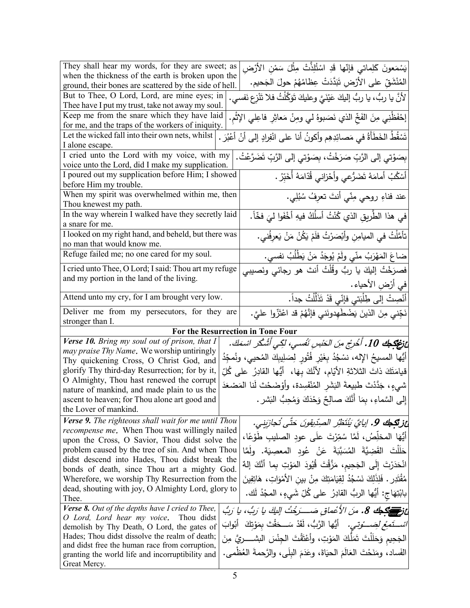| They shall hear my words, for they are sweet; as                                                      | يَسْمَعونَ كَلِماتي فإنّها قَدِ اسْتُلِذَّتْ مِثْلَ سَمْنِ الأَرْضِ                                            |
|-------------------------------------------------------------------------------------------------------|----------------------------------------------------------------------------------------------------------------|
| when the thickness of the earth is broken upon the                                                    | المُنْشَقِّ على الأَرْضِ تَبَدَّدَتْ عِظَامُهُمْ حولَ الجَحيم.                                                 |
| ground, their bones are scattered by the side of hell.                                                |                                                                                                                |
| But to Thee, O Lord, Lord, are mine eyes; in<br>Thee have I put my trust, take not away my soul.      | لأنَّ يا ربُّ، يا ربُّ إليكَ عَيْنَيَّ وعليكَ تَوَكَّلْتُ فلا تَنْزِع نَفْسي.                                  |
| Keep me from the snare which they have laid                                                           |                                                                                                                |
| for me, and the traps of the workers of iniquity.                                                     | إِحْفَظْنِي مِنَ الفَخِّ الذي نَصَبوهُ لي ومِنْ مَعاثِرِ فاعِلي الإِثْمِ.                                      |
| Let the wicked fall into their own nets, whilst                                                       | تَسْقُطُ الخَطَأَةْ في مَصائِدِهِم وأكونُ أنا على انْفِرادٍ إلى أنْ أعْبُرَ .                                  |
| I alone escape.                                                                                       |                                                                                                                |
| I cried unto the Lord with my voice, with my                                                          | بِصَوْتِي إِلَى الرَّبِّ صَرَخْتُ، بِصَوْتِي إِلَى الرَّبِّ تَضَرَّعْتُ.                                       |
| voice unto the Lord, did I make my supplication.                                                      |                                                                                                                |
| I poured out my supplication before Him; I showed                                                     | أَسْكُبُ أَمامَهُ تَضَرُّعي وأَحْزاني قُدّامَهُ أَخَبِّرُ .                                                    |
| before Him my trouble.                                                                                |                                                                                                                |
| When my spirit was overwhelmed within me, then                                                        | عند فناءِ روحي مِنّي أنتَ تعرِفُ سُبُلِي.                                                                      |
| Thou knewest my path.                                                                                 |                                                                                                                |
| In the way wherein I walked have they secretly laid                                                   | في هذا الطَّريقِ الذي كُنْتُ أسلُكُ فيهِ أَخْفَوا ليَ فخّاً.                                                   |
| a snare for me.<br>I looked on my right hand, and beheld, but there was                               |                                                                                                                |
| no man that would know me.                                                                            | تأمَّلْتُ في الميامِنِ وأَبْصَرْتُ فلَمْ يَكُنْ مَنْ يَعرِفُني.                                                |
| Refuge failed me; no one cared for my soul.                                                           |                                                                                                                |
| I cried unto Thee, O Lord; I said: Thou art my refuge                                                 | ضاعَ المَهْرَبُ منّي ولَمْ يُوجَدُ مَنْ يَطْلُبُ نفسي.<br>فصرَخْتُ إليكَ يا ربُّ وقُلْتُ أنتَ هو رجائي ونَصيبي |
| and my portion in the land of the living.                                                             |                                                                                                                |
|                                                                                                       | في أرْضِ الأحياء .                                                                                             |
| Attend unto my cry, for I am brought very low.                                                        | أَنْصِتْ إلى طِلْبَتي فإنّي قَدْ تَذَلَّلْتُ جداً.                                                             |
| Deliver me from my persecutors, for they are                                                          | نَجِّني مِنَ الذينَ يَضْطَهِدونَني فإنَّهُمْ قد اعْتَزُّوا عليَّ.                                              |
| stronger than I.                                                                                      |                                                                                                                |
|                                                                                                       | For the Resurrection in Tone Four                                                                              |
| Verse 10. Bring my soul out of prison, that I<br>may praise Thy Name. We worship untiringly           | عْ تَضْحِكْ 10. أُخْرِجْ مِنَ الحَسْسِ نَفْسـي، لكِي أَشْكُر اسْمَكَ.                                          |
| Thy quickening Cross, O Christ God, and                                                               | أَيُّها المسيحُ الإِله، نسْجُدُ بِغَيْرِ فُتُورِ لِصَلِيبِكَ المُحيي، ونُمجِّدُ                                |
| glorify Thy third-day Resurrection; for by it,                                                        | قيامَتَكَ ذاتَ الثلاثةِ الأَيّامِ، لأَنَّكَ بِهَا،  أَيُّها الفادِرُ  على كُلِّ                                |
| O Almighty, Thou hast renewed the corrupt                                                             |                                                                                                                |
| nature of mankind, and made plain to us the                                                           | شيءٍ، جَدَّدْتَ طبيعةَ البَشَرِ المُنْفَسِدة، وأوْضَحْتَ لَنا المَصْعَدَ                                       |
| ascent to heaven; for Thou alone art good and                                                         | إِلَى السَّماءِ، بِمَا أَنَّكَ صالِحٌ وَحْدَكَ وَمُحِبُّ البَشْرِ .                                            |
| the Lover of mankind.                                                                                 |                                                                                                                |
| Verse 9. The righteous shall wait for me until Thou                                                   | عز تَكِمِك 9. إيايِّ يَنْتَظِرُ الصِدِّيقِونَ حَتَّى تُجازَينِي.                                               |
| <i>recompense me.</i> When Thou wast willingly nailed                                                 | أَيُّهَا المخلِّصُ، لَمَّا سُمِّرْتَ علَى عودِ الصليبِ طوْعًا،                                                 |
| upon the Cross, O Savior, Thou didst solve the                                                        |                                                                                                                |
| problem caused by the tree of sin. And when Thou                                                      | حَلَلْتَ   القَضِيَّةَ   المُسَبَّبَةَ   عَنْ   عُود   المعصِيَة.   ولَمَّا                                    |
| didst descend into Hades, Thou didst break the                                                        | انْحَدَرْتَ إِلَى الجَحِيم، مَزَّقْتَ قُيُودَ المَوْتِ بِما أَنَّكَ إِلهٌ                                      |
| bonds of death, since Thou art a mighty God.                                                          |                                                                                                                |
| Wherefore, we worship Thy Resurrection from the<br>dead, shouting with joy, O Almighty Lord, glory to | مُقْتَدِرٍ . فَلِذَلِكَ نَسْجُدُ لِقِيَامَتِكَ مِنْ بينِ الأَمْوَاتِ، هَاتِفِينَ                               |
| Thee.                                                                                                 | بابْتِهَاج: أَيُّها الربُّ القادِرُ على كُلِّ شَيءٍ، المجْدُ لَك.                                              |
| Verse 8. Out of the depths have I cried to Thee,                                                      | ئ قَرَ اللَّهِ عَلَيْهِ جَاء مِنَ الأَعْماقِ صَــــرَجْتُ الِيكَ يا رَبُّ، يا رَبُّ                            |
| O Lord, Lord hear my voice. Thou didst                                                                |                                                                                                                |
|                                                                                                       |                                                                                                                |
| demolish by Thy Death, O Lord, the gates of                                                           | <i>شَــتَمَعْ لَصَـــوْتـى.</i> أَيُّها الرَّبُّ، لَقَدْ سَـــحَقْتَ بِمَوْتِكَ   أَبْوابَ                     |
| Hades; Thou didst dissolve the realm of death;                                                        |                                                                                                                |
| and didst free the human race from corruption,                                                        | الجَحِيم وَحَلَلْتَ تَمَلَّكَ المَوْتِ، وأَعْتَقْتَ الْجِنْسَ البشــــــريَّ مِنَ                              |
| granting the world life and incorruptibility and<br>Great Mercy.                                      | الفَساد، ومَنَحْتَ العَالَمَ الحيَاةَ، وعَدَمَ البِلَى، والرَّحمةَ العُظْمي.                                   |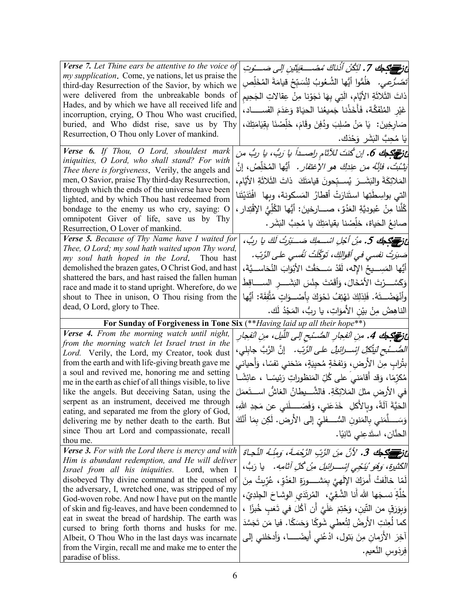| Verse 7. Let Thine ears be attentive to the voice of                                                | عْ نَرْ الْقَدْيَةِ حَمْدٍ لَتَكُنْ أَذْناكَ مُصْبِ فِيَتَيْنِ إِلَى صَبْوتِ                         |
|-----------------------------------------------------------------------------------------------------|------------------------------------------------------------------------------------------------------|
| my supplication. Come, ye nations, let us praise the                                                |                                                                                                      |
| third-day Resurrection of the Savior, by which we                                                   | <i>تَضَرَّعِي.</i> هَلُمُّوا أَيُّها الشُّعُوبُ لِنُسَبِّحْ قيامَةَ المُخَلِّصِ                      |
| were delivered from the unbreakable bonds of                                                        | ذاتَ الثَّلاثَةِ الأيَّامِ، الَّتِي بِهَا نَجَوْنِا مِنْ عِقالاتِ الجَحِيمِ                          |
| Hades, and by which we have all received life and                                                   | غَيْرِ المُنْفَكَّة، فَأَخَذْنا جَميعُنا الحيَاةَ وَعَدَمَ الفَســـــاد،                             |
| incorruption, crying, O Thou Who wast crucified,                                                    |                                                                                                      |
| buried, and Who didst rise, save us by Thy                                                          | صَارِخِينَ: ۚ يَا مَنْ صُلِبَ وِدُفِنَ وقَامَ، خَلِّصْنَا بِقِيَامَتِكَ،                             |
| Resurrection, O Thou only Lover of mankind.                                                         | يَا مُحِبَّ البَشَرِ وَحْدَك.                                                                        |
| Verse 6. If Thou, O Lord, shouldest mark                                                            | ئ قلم عنها 6. إن كُنتَ للآثام راصــداً يا رَبُ، يا ربُ من                                            |
| iniquities, O Lord, who shall stand? For with                                                       | <i>يَتْبُتْ، فإنَّهُ من عِندِكَ هو الإغتفار .</i> أيُّها المُخَلِّصُ، إنَّ                           |
| Thee there is forgiveness. Verily, the angels and                                                   |                                                                                                      |
| men, O Savior, praise Thy third-day Resurrection,                                                   | المَلائِكَةَ والبَشَــرَ ۖ يُســبّحونَ قيامَتَكَ ۖ ذاتَ الثَّلاثَةِ الأَيَّامِ،                      |
| through which the ends of the universe have been<br>lighted, and by which Thou hast redeemed from   | التي بواسِطَتِها استَنارَتْ أقطارُ المَسكونة، وبها ۖ افْتَدَيْتَنا                                   |
| bondage to the enemy us who cry, saying: O                                                          | كُلَّنا مِنْ عُبوديَّةِ العَدُوِّ، صــــارخينَ: أَيُّها الكُلِّيُّ الإقْتِدارِ ،                     |
| omnipotent Giver of life, save us by Thy                                                            |                                                                                                      |
| Resurrection, O Lover of mankind.                                                                   | صانِعُ الحَياة، خلِّصْنا بقيامَتِكَ يا مُحِبَّ النِّشَرِ .                                           |
| Verse 5. Because of Thy Name have I waited for                                                      | عْ فَرَ الْمَسْتَحِيكَ 5. مِنْ أَجْلِ اسْـــمِكَ صَـــَبْرِتُ لَكَ يا ربُّ،                          |
| Thee, O Lord; my soul hath waited upon Thy word,<br>my soul hath hoped in the Lord. Thou hast       | صَبَرتُ نفسي في أقوالكِ، تَوَكَّلَتْ نَفْسي على الرَّبّ.                                             |
| demolished the brazen gates, O Christ God, and hast                                                 | أَيُّها المَسِـــيحُ الإِله، لَقَدْ سَـــحَقْتَ الأَبْوَابَ النُـحَاســـيَّةَ،                       |
| shattered the bars, and hast raised the fallen human                                                |                                                                                                      |
| race and made it to stand upright. Wherefore, do we                                                 | وَكَسَّـــرْتَ الأَمْخَالَ، وَأَقَمْتَ جِنْسَ البَشَــــرِ الســـــاقِطَــــــــــــــــــــــــــــ |
| shout to Thee in unison, O Thou rising from the                                                     | وأَنْهَضْـــتَهُ. فَلِذلِكَ نَهْتِفُ نَحْوَكَ بِأَصْـــوَاتٍ مُتَّفِقَة: أَيُّها                     |
| dead, O Lord, glory to Thee.                                                                        | الناهِضُ مِنْ بيْنِ الأَموَاتِ، يا ربُّ، المَجْدُ لَك.                                               |
|                                                                                                     |                                                                                                      |
|                                                                                                     |                                                                                                      |
| For Sunday of Forgiveness in Tone Six (** Having laid up all their hope**)                          |                                                                                                      |
| Verse 4. From the morning watch until night,                                                        | <b>نْ قَصَيْحِكَ 4.</b> مِنِ انْفِجارِ الصُّـْبح إلى اللَّيل، مِنِ انْفِجارِ                         |
| from the morning watch let Israel trust in the<br>Lord. Verily, the Lord, my Creator, took dust     | <i>الصُّــْبح لَيتَّكِلْ إِسْــرائيلُ</i> ع <i>لـى الرَّبّ.</i> إنَّ الرَّبَّ جابِلي،                |
| from the earth and with life-giving breath gave me                                                  |                                                                                                      |
| a soul and revived me, honoring me and setting                                                      | بِتُرابِ مِنَ الأرضِ، وَنَفخَةٍ مُحيِيَةٍ، مَنَحَني نَفسًا، وَأَحياني                                |
| me in the earth as chief of all things visible, to live                                             | مُكرِّمًا، وَقد أقامَني على كُلِّ المَنظوراتِ رَئِيسًــا ، عائِشًــا                                 |
| like the angels. But deceiving Satan, using the                                                     | في الأرضِ مثلَ المَلائِكَةِ. فالشَّـــيطانُ الغاشُّ اســـتَعمَلَ                                     |
| serpent as an instrument, deceived me through                                                       | الْحَيَّةَ أَلَّةً، وبِالأَكْلِ ۖ خَدَعَنِي، وَفَصَـــــلني عن مَجدِ اللهِ،                          |
| eating, and separated me from the glory of God,                                                     |                                                                                                      |
| delivering me by nether death to the earth. But<br>since Thou art Lord and compassionate, recall    | وَسَـــــلَّمَنــي بِالمَنونِ السُّـــــفلـيّ إلـى الأرض. لَكِن بِمَا أَنَّكَ                        |
| thou me.                                                                                            | الحنَّان، استَدعِني ثانِيًا.                                                                         |
| Verse 3. For with the Lord there is mercy and with                                                  |                                                                                                      |
| Him is abundant redemption, and He will deliver                                                     | ئَ تَصَدَّكُمْ 3. لأَنَّ مِنَ الزَّبِ الزَّحْمَـةَ، وَمِنْـهُ النَّجاةَ                              |
| Israel from all his iniquities.<br>Lord, when I                                                     | الكَثيرة، وَهُوَ يُنَجِّي إِسْـــرائيلَ مِنْ كُلِّ آثامِهِ.    يا رَبُّ،                             |
| disobeyed Thy divine command at the counsel of                                                      | لَمّا خالَفتُ أَمرَكَ الإِلَهيَّ بِمَشْــــورَةِ الْـعَدُقِ، عُرِّيتُ مِنَ                           |
| the adversary, I, wretched one, was stripped of my                                                  |                                                                                                      |
| God-woven robe. And now I have put on the mantle                                                    | خُلَّةٍ نسجَها الله أَنا الشَّقِيَّ، المُرتَدَي الوِشاحَ الْجِلدِيِّ،                                |
| of skin and fig-leaves, and have been condemned to                                                  | وَبِوَرَقٍ من النَّين، وَجُنِّمَ عَلَيَّ أَن آكُلَ في تَعَبِ خُبزًا ،                                |
| eat in sweat the bread of hardship. The earth was                                                   | كما لُعِنَتِ الأرضُ لِتُعطى شَوكًا وَحَسَكًا. فيا مَن تَجَسَّدَ                                      |
| cursed to bring forth thorns and husks for me.<br>Albeit, O Thou Who in the last days was incarnate | آخِرَ الأزمانِ مِنَ بَتول، ادْعُني أيضًـــــا، وَأدخلني إلى                                          |
| from the Virgin, recall me and make me to enter the                                                 | فِرِدَوسِ النَّعيمِ.                                                                                 |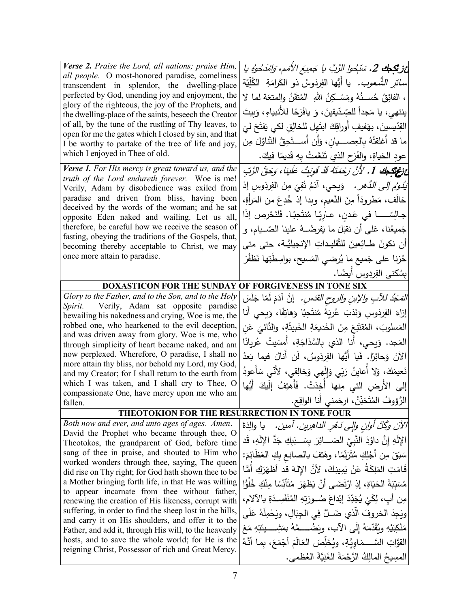| Verse 2. Praise the Lord, all nations; praise Him,<br>all people. O most-honored paradise, comeliness<br>transcendent in splendor, the dwelling-place<br>perfected by God, unending joy and enjoyment, the<br>glory of the righteous, the joy of the Prophets, and<br>the dwelling-place of the saints, beseech the Creator<br>of all, by the tune of the rustling of Thy leaves, to<br>open for me the gates which I closed by sin, and that<br>I be worthy to partake of the tree of life and joy,<br>which I enjoyed in Thee of old.<br><b>Verse 1.</b> For His mercy is great toward us, and the<br>truth of the Lord endureth forever. Woe is me!<br>Verily, Adam by disobedience was exiled from<br>paradise and driven from bliss, having been<br>deceived by the words of the woman; and he sat<br>opposite Eden naked and wailing. Let us all,<br>therefore, be careful how we receive the season of | أغز تكمك 2. سَبِّحوا الرَّبَّ يا جَمِيعَ الأَمَمِ، وَامْدَحُوهُ يا<br><i>سائرَ الشَّعوب.</i> يا أيُّها الفِردَوسُ ذو الكَرامَةِ  الكُلِّيّة<br>، الفائِقُ حُســـنُهُ ومَسْــكِنُ اللهِ ۖ المُتقَنُ والمتعَة لما لا<br>ينتهي، يا مَجداً للصِّدّيقينَ، وَ يافَرَحًا للأنبياءِ، وَبِيتَ<br>القِدّيسينَ، بهَفيفِ أوراقِكَ ابتَهِل للخالِقِ لكي يَفتَحَ ليَ<br>ما قد أغلقتُهُ بِالعِصــــيانِ، وَأَن أَســـتَحِقَّ التَّناوُلَ مِن<br>عودِ الحَياةِ، والفَرَحِ الذي تَنَعَّمتُ بِهِ قَديمًا فيكَ.<br>عْ فَعَ الْجَمْعَةِ 1. لأَنَّ رَحْمَتَهُ قَدْ قَوِيتُ عَلَينا، وَحَقُّ الرَّبِّ<br>َ <i>يَدُومُ إلى الدَّهر .</i> وَيحي، آدَمُ نُفِيَ مِنَ الفِردَوسِ إذ<br>خالَف، مَطرودَاً مِنَ النَّعيم، وبدا إذ خُدِعَ من المَرأةِ،<br>جَميعُنا، عَلى أن نقبَلَ ما يَفرضُــهُ علينا الصّــيام، و |
|---------------------------------------------------------------------------------------------------------------------------------------------------------------------------------------------------------------------------------------------------------------------------------------------------------------------------------------------------------------------------------------------------------------------------------------------------------------------------------------------------------------------------------------------------------------------------------------------------------------------------------------------------------------------------------------------------------------------------------------------------------------------------------------------------------------------------------------------------------------------------------------------------------------|--------------------------------------------------------------------------------------------------------------------------------------------------------------------------------------------------------------------------------------------------------------------------------------------------------------------------------------------------------------------------------------------------------------------------------------------------------------------------------------------------------------------------------------------------------------------------------------------------------------------------------------------------------------------------------------------------------------------------------------------------------------------------------------|
| fasting, obeying the traditions of the Gospels, that,<br>becoming thereby acceptable to Christ, we may<br>once more attain to paradise.                                                                                                                                                                                                                                                                                                                                                                                                                                                                                                                                                                                                                                                                                                                                                                       | أن نكونَ طـائِعينَ للتَّقليداتِ الإنجيليَّـة، حتى متى<br>حُزنا على جَميع ما يُرضي المَسيح، بواسِطَتِها نَظفُرَ                                                                                                                                                                                                                                                                                                                                                                                                                                                                                                                                                                                                                                                                       |
|                                                                                                                                                                                                                                                                                                                                                                                                                                                                                                                                                                                                                                                                                                                                                                                                                                                                                                               | بِسُكني الفِردوس أيضًا.                                                                                                                                                                                                                                                                                                                                                                                                                                                                                                                                                                                                                                                                                                                                                              |
| <b>DOXASTICON FOR THE SUNDAY OF FORGIVENESS IN TONE SIX</b>                                                                                                                                                                                                                                                                                                                                                                                                                                                                                                                                                                                                                                                                                                                                                                                                                                                   |                                                                                                                                                                                                                                                                                                                                                                                                                                                                                                                                                                                                                                                                                                                                                                                      |
| Glory to the Father, and to the Son, and to the Holy<br>Spirit. Verily, Adam sat opposite paradise<br>bewailing his nakedness and crying, Woe is me, the                                                                                                                                                                                                                                                                                                                                                                                                                                                                                                                                                                                                                                                                                                                                                      | الصَّجُدُ للآبِ والإبنِ والروحِ القَدْسِ. ۚ إنَّ آدَمَ لَمَّا جَلَسَ<br>إزاءَ الفِرِدَوسِ وَنَدَبَ عُرِيَهُ مُنتَحِبًا وَهاتِفًا، وَيحى أنا                                                                                                                                                                                                                                                                                                                                                                                                                                                                                                                                                                                                                                          |
| robbed one, who hearkened to the evil deception,<br>and was driven away from glory. Woe is me, who                                                                                                                                                                                                                                                                                                                                                                                                                                                                                                                                                                                                                                                                                                                                                                                                            | المَسلوبَ، المُقتَنِعَ مِنَ الخَديعَةِ الخَبيثَةِ، والنَّائيَ عَن                                                                                                                                                                                                                                                                                                                                                                                                                                                                                                                                                                                                                                                                                                                    |
| through simplicity of heart became naked, and am<br>now perplexed. Wherefore, O paradise, I shall no                                                                                                                                                                                                                                                                                                                                                                                                                                                                                                                                                                                                                                                                                                                                                                                                          | المَجد. وَيحى، أنا الذي بِالسَّذاجَةِ، أَمسَيتُ عُريانًا                                                                                                                                                                                                                                                                                                                                                                                                                                                                                                                                                                                                                                                                                                                             |
| more attain thy bliss, nor behold my Lord, my God,                                                                                                                                                                                                                                                                                                                                                                                                                                                                                                                                                                                                                                                                                                                                                                                                                                                            | الآنَ وَحائِرًا. فَيا أَيُّها الفِرِدَوسُ، لَن أنالَ فيما بَعدُ                                                                                                                                                                                                                                                                                                                                                                                                                                                                                                                                                                                                                                                                                                                      |
| and my Creator; for I shall return to the earth from<br>which I was taken, and I shall cry to Thee, O                                                                                                                                                                                                                                                                                                                                                                                                                                                                                                                                                                                                                                                                                                                                                                                                         | نَعيمَكَ، وَلا أَعايِنُ رَبِّي وَإِلَهي وَخالِقي، لأنّي سَأَعودُ                                                                                                                                                                                                                                                                                                                                                                                                                                                                                                                                                                                                                                                                                                                     |
| compassionate One, have mercy upon me who am                                                                                                                                                                                                                                                                                                                                                                                                                                                                                                                                                                                                                                                                                                                                                                                                                                                                  | إلى الأرضِ التي مِنها أخِذتُ. فَأَهتِفُ إِلَيكَ أَيُّها                                                                                                                                                                                                                                                                                                                                                                                                                                                                                                                                                                                                                                                                                                                              |
| fallen.                                                                                                                                                                                                                                                                                                                                                                                                                                                                                                                                                                                                                                                                                                                                                                                                                                                                                                       | الرَّؤوفُ المُتَحَنِّنُ، ارحَمني أنا الواقِع.                                                                                                                                                                                                                                                                                                                                                                                                                                                                                                                                                                                                                                                                                                                                        |
| <b>THEOTOKION FOR THE RESURRECTION IN TONE FOUR</b>                                                                                                                                                                                                                                                                                                                                                                                                                                                                                                                                                                                                                                                                                                                                                                                                                                                           |                                                                                                                                                                                                                                                                                                                                                                                                                                                                                                                                                                                                                                                                                                                                                                                      |
| Both now and ever, and unto ages of ages. Amen.<br>David the Prophet who became through thee, O                                                                                                                                                                                                                                                                                                                                                                                                                                                                                                                                                                                                                                                                                                                                                                                                               | الآنَ وكُلَّ أُوانِ والِّي دَهْرِ الدَاهِرِينِ. آمين.   يا والِدَةَ                                                                                                                                                                                                                                                                                                                                                                                                                                                                                                                                                                                                                                                                                                                  |
| Theotokos, the grandparent of God, before time<br>sang of thee in praise, and shouted to Him who                                                                                                                                                                                                                                                                                                                                                                                                                                                                                                                                                                                                                                                                                                                                                                                                              | الإِلَهِ إِنَّ داوُدَ النَّبِيَّ الصَـــائِرَ بِسَــبَبِكِ جَدَّ الإِلَهِ، قَد<br>سَبَقَ مِن أَجْلِكِ مُتَرَبِّمًا، وهَتفَ بالصانِع بِكِ العَظَائِمَ:                                                                                                                                                                                                                                                                                                                                                                                                                                                                                                                                                                                                                                |
| worked wonders through thee, saying, The queen                                                                                                                                                                                                                                                                                                                                                                                                                                                                                                                                                                                                                                                                                                                                                                                                                                                                | قَامَتِ المَلِكَةُ عَنْ يَمِينِكَ، لأَنَّ الإِلهَ قد أَظهَرَكِ أَمًّا                                                                                                                                                                                                                                                                                                                                                                                                                                                                                                                                                                                                                                                                                                                |
| did rise on Thy right; for God hath shown thee to be<br>a Mother bringing forth life, in that He was willing                                                                                                                                                                                                                                                                                                                                                                                                                                                                                                                                                                                                                                                                                                                                                                                                  | مُسَبِّبَةَ الْحَيَاةِ، إِذِ ارْتَضَى أَنْ يَظْهَرَ مُتَأَنِّسًا مِنْكِ خُلَوًّا                                                                                                                                                                                                                                                                                                                                                                                                                                                                                                                                                                                                                                                                                                     |
| to appear incarnate from thee without father,                                                                                                                                                                                                                                                                                                                                                                                                                                                                                                                                                                                                                                                                                                                                                                                                                                                                 | مِن أَبِ، لِكَيْ يُجَدِّدَ إِبْداعَ صُــورَتِهِ الْمُنْفَسِـدَةِ بِالْآلامِ،                                                                                                                                                                                                                                                                                                                                                                                                                                                                                                                                                                                                                                                                                                         |
| renewing the creation of His likeness, corrupt with<br>suffering, in order to find the sheep lost in the hills,                                                                                                                                                                                                                                                                                                                                                                                                                                                                                                                                                                                                                                                                                                                                                                                               | ويَجِدَ الخروفَ الَّذي ضَــلَّ فِي الْجِبَالِ، ويَحْمِلَهُ عَلَى                                                                                                                                                                                                                                                                                                                                                                                                                                                                                                                                                                                                                                                                                                                     |
| and carry it on His shoulders, and offer it to the                                                                                                                                                                                                                                                                                                                                                                                                                                                                                                                                                                                                                                                                                                                                                                                                                                                            |                                                                                                                                                                                                                                                                                                                                                                                                                                                                                                                                                                                                                                                                                                                                                                                      |
| Father, and add it, through His will, to the heavenly<br>hosts, and to save the whole world; for He is the                                                                                                                                                                                                                                                                                                                                                                                                                                                                                                                                                                                                                                                                                                                                                                                                    | مَنْكِبَيْهِ وِيُقَدِّمَهُ إِلَى الآب، ويَضُــــمَّهُ بِمَشِــــيئتِهِ مَعَ                                                                                                                                                                                                                                                                                                                                                                                                                                                                                                                                                                                                                                                                                                          |
| reigning Christ, Possessor of rich and Great Mercy.                                                                                                                                                                                                                                                                                                                                                                                                                                                                                                                                                                                                                                                                                                                                                                                                                                                           | القوَّاتِ السَّــــمَـاوِيَّةِ، ويُخَلِّصَ العَـالَمَ أَجْمَعَ، بمـا أَنَّـهُ                                                                                                                                                                                                                                                                                                                                                                                                                                                                                                                                                                                                                                                                                                        |
|                                                                                                                                                                                                                                                                                                                                                                                                                                                                                                                                                                                                                                                                                                                                                                                                                                                                                                               | المسِيحُ المالِكُ الرَّحْمَةَ الغَنِيَّةَ العُظمى.                                                                                                                                                                                                                                                                                                                                                                                                                                                                                                                                                                                                                                                                                                                                   |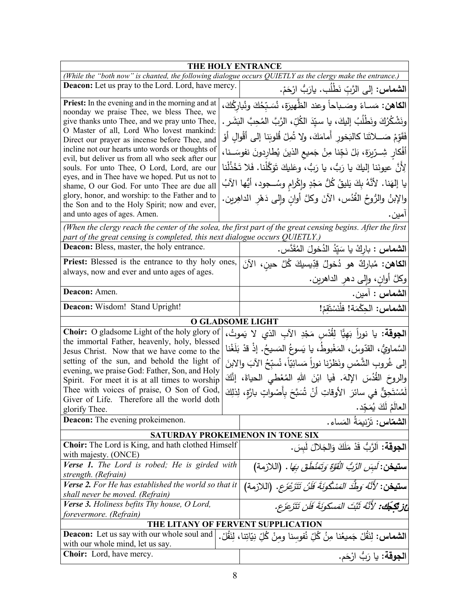| THE HOLY ENTRANCE                                                                                                        |  |                                                                                                             |
|--------------------------------------------------------------------------------------------------------------------------|--|-------------------------------------------------------------------------------------------------------------|
|                                                                                                                          |  | (While the "both now" is chanted, the following dialogue occurs QUIETLY as the clergy make the entrance.)   |
| <b>Deacon:</b> Let us pray to the Lord. Lord, have mercy.                                                                |  | ا <b>لشماس:</b> إلى الرَّبِّ نَطْلَب. يارَبُّ ارْحَمْ.                                                      |
| Priest: In the evening and in the morning and at<br>noonday we praise Thee, we bless Thee, we                            |  | ا <b>لكاهن:</b> مَسـاءً وصَــباحاً وعند الظّهيرَة، نُسَـبّحُكَ ونُباركُكَ،                                  |
| give thanks unto Thee, and we pray unto Thee,                                                                            |  | ونَشْكُرُكَ ونَطْلُبُ إليكَ، يا سيّدَ الكُلِّ، الرَّبَّ المُحِبَّ البَشَرِ .                                |
| O Master of all, Lord Who lovest mankind:                                                                                |  | فَقَوّمْ صَـــلاتَنا كالبَخور ۖ أمامَكَ، ولا تُمِلْ قُلوبَنا إلى أقْوالِ أَوْ                               |
| Direct our prayer as incense before Thee, and<br>incline not our hearts unto words or thoughts of                        |  |                                                                                                             |
| evil, but deliver us from all who seek after our                                                                         |  | أَفْكارِ شِـرِّيرَة، بَلْ نَجِّنا مِنْ جَميعِ الذينَ يُطارِدونَ نفوسَــنا،                                  |
| souls. For unto Thee, O Lord, Lord, are our                                                                              |  | لِأَنَّ عيونَنا إليكَ يا رَبُّ، يا رَبُّ، وعَليكَ تَوَكَّلْنا. فَلا تَخْذُلْنا                              |
| eyes, and in Thee have we hoped. Put us not to<br>shame, O our God. For unto Thee are due all                            |  | يا إلهَنا. لأنَّهُ بِكَ يَليقُ كُلُّ مَجْدٍ وإِكْرامٍ وسُــجود، أَيُّها الآبُ                               |
| glory, honor, and worship: to the Father and to                                                                          |  | والإبنُ والرُّوحُ الْقُدُس، الآنَ وكلَّ أوانِ وإلى دَهْرِ الداهِرين.                                        |
| the Son and to the Holy Spirit; now and ever,<br>and unto ages of ages. Amen.                                            |  | امين.                                                                                                       |
|                                                                                                                          |  | (When the clergy reach the center of the solea, the first part of the great censing begins. After the first |
| part of the great censing is completed, this next dialogue occurs QUIETLY.)<br>Deacon: Bless, master, the holy entrance. |  |                                                                                                             |
| <b>Priest:</b> Blessed is the entrance to thy holy ones,                                                                 |  | الشماس : باركْ يا سَيّدُ الدُخولَ المُقَدَّس.                                                               |
| always, now and ever and unto ages of ages.                                                                              |  | ا <b>لكاهن:</b> مُباركٌ هو دُخولُ قِدِّيسيكَ كُلَّ حين، الآنَ                                               |
| Deacon: Amen.                                                                                                            |  | وكلَّ أُوانِ، وَإِلَى دَهْرِ الدَاهْرِينِ.                                                                  |
|                                                                                                                          |  | الشماس : أمين.                                                                                              |
| Deacon: Wisdom! Stand Upright!                                                                                           |  | ا <b>لشماس:</b> الحِكْمَة! فلْنَسْتَقمْ!                                                                    |
|                                                                                                                          |  | <b>O GLADSOME LIGHT</b>                                                                                     |
| <b>Choir:</b> O gladsome Light of the holy glory of                                                                      |  | ا <b>لجوقة:</b> يا نوراً بَهِيًّا لِقُدْس مَجْدِ الآبِ الذي لا يَموتُ،                                      |
| the immortal Father, heavenly, holy, blessed<br>Jesus Christ. Now that we have come to the                               |  | السَّماويُّ، القدّوسُ، المَغْبوطُ، يا يَسوعُ المَسيحُ. إذْ قدْ بَلَغْنا                                     |
| setting of the sun, and behold the light of                                                                              |  | إلى غُروبِ الشَّمْسِ ونَظرْنا نوراً مَسائِيّاً، نُسبِّحُ الآبَ والابنَ                                      |
| evening, we praise God: Father, Son, and Holy                                                                            |  |                                                                                                             |
| Spirit. For meet it is at all times to worship                                                                           |  | والروحَ القُدُسَ الإِلهَ. فَيا ابْنَ اللهِ المُعْطي الحياةَ، إِنَّكَ                                        |
| Thee with voices of praise, O Son of God,<br>Giver of Life. Therefore all the world doth                                 |  | لَمُسْتَحِقٌّ في سائرَ  الأوقاتِ أَنْ شُبَّحَ بِأَصْواتٍ بارَّةٍ، لِذلِكَ                                   |
| glorify Thee.                                                                                                            |  | العالَمُ لَكَ يُمَجِّد                                                                                      |
| <b>Deacon:</b> The evening prokeimenon.                                                                                  |  | ا <b>لشمّاس:</b> تَرْنيمَةُ المَساء.                                                                        |
| <b>SATURDAY PROKEIMENON IN TONE SIX</b>                                                                                  |  |                                                                                                             |
| <b>Choir:</b> The Lord is King, and hath clothed Himself                                                                 |  | الجوقة: اَلرَّبُّ قَدْ مَلَكَ وَالجَلالَ لَبِسَ.                                                            |
| with majesty. (ONCE)<br>Verse 1. The Lord is robed; He is girded with                                                    |  | س <b>تيخن</b> : لَسِ <i>َنِ الرَّبُ الْقَوَّةِ وَتَمَنْطُقَ بِهَا</i> . (اللازمة)                           |
| strength. (Refrain)                                                                                                      |  |                                                                                                             |
| Verse 2. For He has established the world so that it<br>shall never be moved. (Refrain)                                  |  | <b>ستيخن</b> : <i>'لأَنَّهُ وَطُّدَ المَسْكُونَةَ فَلَنْ تَتَزَعْزَع</i> . (اللازمة)                        |
| Verse 3. Holiness befits Thy house, O Lord,                                                                              |  | ئِ لِتَكَجَّكُ: 'لأَنَّهُ ثَبَّتَ المَسكونَةَ فَلَن تَتَزَعَزَع.                                            |
| forevermore. (Refrain)                                                                                                   |  | THE LITANY OF FERVENT SUPPLICATION                                                                          |
| <b>Deacon:</b> Let us say with our whole soul and                                                                        |  |                                                                                                             |
| with our whole mind, let us say.                                                                                         |  | ا <b>لشماس:</b> لِنَقُلْ جَميعُنا مِنُ كُلِّ نُفوسنا ومنْ كُلِّ نِيَاتِنا، لِنَقُلْ.                        |
| Choir: Lord, have mercy.                                                                                                 |  | ا <b>لجوقة:</b> يا رَبُّ ارْحَم.                                                                            |
|                                                                                                                          |  |                                                                                                             |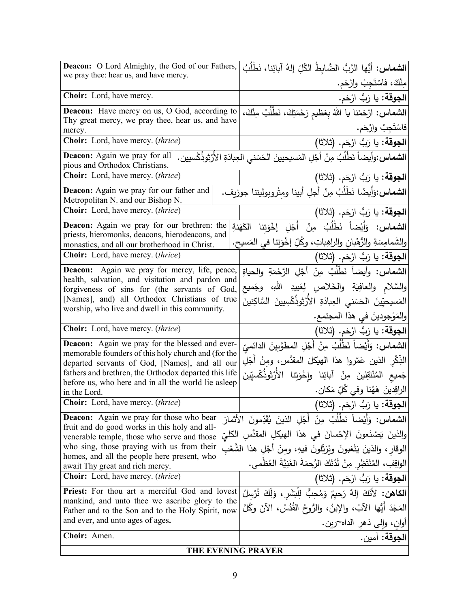| Deacon: O Lord Almighty, the God of our Fathers,                                                        | ا <b>لشماس:</b> أيُّها الزَّبُّ الضَّابطُ الكُلِّ إلهُ آبائِنا، نَطْلُبُ                     |
|---------------------------------------------------------------------------------------------------------|----------------------------------------------------------------------------------------------|
| we pray thee: hear us, and have mercy.                                                                  | مِنْكَ، فاسْتَجِبْ وارْحَم.                                                                  |
| Choir: Lord, have mercy.                                                                                | ا <b>لجوقة:</b> يا رَبُّ ارْحَم.                                                             |
| <b>Deacon:</b> Have mercy on us, O God, according to                                                    | ا <b>لشماس:</b> ارْحَمْنا يا اللهُ بِعَظيم رَحْمَتِكَ، نَطْلُبُ مِنْكَ،                      |
| Thy great mercy, we pray thee, hear us, and have                                                        | فاسْتَجِبْ وارْحَم.                                                                          |
| mercy.<br>Choir: Lord, have mercy. (thrice)                                                             |                                                                                              |
|                                                                                                         | ا <b>لجوقة:</b> يا رَبُّ ارْحَم. (ثلاثا)                                                     |
| <b>Deacon:</b> Again we pray for all<br>pious and Orthodox Christians.                                  | ا <b>لشماس:</b> وأيضاً نَطْلُبُ مِنْ أَجْلِ المَسيحيينَ الحَسَني العِبادَةِ الأرْثوذُكْسيين. |
| <b>Choir:</b> Lord, have mercy. <i>(thrice)</i>                                                         | الجوقة: يا رَبُّ ارْحَم. (ثلاثا)                                                             |
| Deacon: Again we pray for our father and<br>Metropolitan N. and our Bishop N.                           | الشماس:وَأَيضًا نَطْلُبُ مِنْ أَجْلِ أبينا ومِتْروبوليتنا جوزيف.                             |
| Choir: Lord, have mercy. (thrice)                                                                       | <b>الجوقة:</b> يا رَبُّ ارْحَم. (ثلاثا)                                                      |
| <b>Deacon:</b> Again we pray for our brethren: the                                                      | ا <b>لشماس:</b> وَأَيْضاً نَطْلُبُ مِنْ أَجْلِ إخْوَتنا الكَهَنةِ                            |
| priests, hieromonks, deacons, hierodeacons, and                                                         |                                                                                              |
| monastics, and all our brotherhood in Christ.                                                           | والشَمامِسَةِ والرُّهْبانِ والراهِباتِ، وكُلِّ إخْوَتِنا في المَسيح.                         |
| <b>Choir:</b> Lord, have mercy. <i>(thrice)</i>                                                         | ا <b>لجوقة:</b> يا رَبُّ ارْحَم. (ثلاثا)                                                     |
| Deacon: Again we pray for mercy, life, peace,<br>health, salvation, and visitation and pardon and       | ا <b>لشماس:</b> وأيضاً نَطْلُبُ مِنْ أَجْلِ الرَّحْمَةِ والحياةِ                             |
| forgiveness of sins for (the servants of God,                                                           | والسَّلام والعافِيَةِ والخَلاصِ لِعَبِيدِ اللهِ، وجَميع                                      |
| [Names], and) all Orthodox Christians of true                                                           | المَسيحيّينَ الحَسَنى العِبادَةِ الأَرْثوذُكْسِيينَ السَّاكِنينَ                             |
| worship, who live and dwell in this community.                                                          | والمَوْجودينَ في هذا المجتمع.                                                                |
| Choir: Lord, have mercy. (thrice)                                                                       | ا <b>لجوقة:</b> يا رَبُّ ارْحَم. (ثلاثا)                                                     |
| Deacon: Again we pray for the blessed and ever-                                                         | ا <b>لشماس:</b> وَأَيْضاً نَطْلُبُ مِنْ أَجْلِ المطوَّبِينَ الدائميِّ                        |
| memorable founders of this holy church and (for the                                                     | الذِّكْرِ الذينِ عَمَّروا هذا الهيكلَ المقدَّس، ومنْ أَجْلِ                                  |
| departed servants of God, [Names], and all our<br>fathers and brethren, the Orthodox departed this life | جَميع المُنْتَقِلينَ مِنْ آبائِنا وإِخْوَتِنا الأَرْثِوذُكْسِيِّينَ                          |
| before us, who here and in all the world lie asleep                                                     |                                                                                              |
| in the Lord.                                                                                            | الراقِدينَ هَهُنا وفي كُلِّ مَكان.                                                           |
| Choir: Lord, have mercy. (thrice)                                                                       | الجوقة: يا رَبُّ ارْحَم. (ثلاثا)                                                             |
| <b>Deacon:</b> Again we pray for those who bear<br>fruit and do good works in this holy and all-        | ا <b>لشماس:</b> وَأَيْضاً نَطْلُبُ مِنْ أَجْلِ الذينَ يُقَدِّمونَ الأَثمارَ                  |
| venerable temple, those who serve and those                                                             | والذينَ يَصْنَعونَ الإِحْسانَ في هذا الهيكلِ المقدَّسِ الكليّ                                |
| who sing, those praying with us from their                                                              | الوقار ، والذينَ يَتْعَبونَ ويُرَتِّلونَ فيهِ، ومنْ أَجْلِ هذا الشَّعْبِ                     |
| homes, and all the people here present, who<br>await Thy great and rich mercy.                          | الواقِفِ، المُنْتَظِرِ مِنْ لَدُنْكَ الرَّحمَةَ الغَنِيَّةَ العُظْمي.                        |
| <b>Choir:</b> Lord, have mercy. <i>(thrice)</i>                                                         | ا <b>لجوقة:</b> يا رَبُّ ارْحَم. (ثلاثا)                                                     |
| Priest: For thou art a merciful God and lovest                                                          | ا <b>لكاهن:</b> لأَنَكَ إِلهٌ رَحيمٌ وَمُحِبٌّ لِلْبَشَرِ ، وَلَكَ نُرْسِلُ                  |
| mankind, and unto thee we ascribe glory to the                                                          | المَجْدَ أَيُّها الآبُ، والإِبنُ، والرُّوحُ الْقُدُسُ، الآنَ وكُلَّ                          |
| Father and to the Son and to the Holy Spirit, now<br>and ever, and unto ages of ages.                   |                                                                                              |
|                                                                                                         | اوانٍ، وإلى دَهرِ الداه~رين.                                                                 |
| Choir: Amen.                                                                                            | الجوقة: آمين.                                                                                |
| THE EVENING PRAYER                                                                                      |                                                                                              |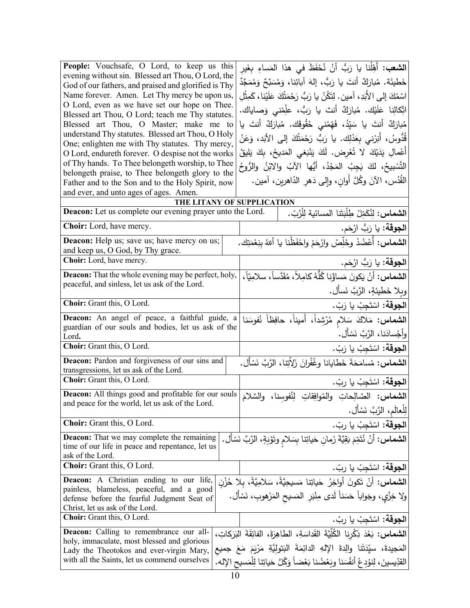| understand Thy statutes. Blessed art Thou, O Holy<br>قُدُّوسُ، أَنِرْنى بِعَدْلِك. يا رَبُّ رَحْمَتُكَ إلى الأَبَد، وَعَنْ<br>One; enlighten me with Thy statutes. Thy mercy,<br>أَعْمالِ يَدَيْكَ لا تُعْرِض. لَكَ يَنْبَغي المَديحُ، بِكَ يَليقُ<br>O Lord, endureth forever. O despise not the works<br>of Thy hands. To Thee belongeth worship, to Thee<br>التَّسْبِيحُ، لكَ يَجِبُ المَجْدُ، أَيُّها الآبُ والابْنُ والرُّوحُ<br>belongeth praise, to Thee belongeth glory to the |
|----------------------------------------------------------------------------------------------------------------------------------------------------------------------------------------------------------------------------------------------------------------------------------------------------------------------------------------------------------------------------------------------------------------------------------------------------------------------------------------|
|                                                                                                                                                                                                                                                                                                                                                                                                                                                                                        |
|                                                                                                                                                                                                                                                                                                                                                                                                                                                                                        |
| القُدُس، الآنَ وكُلَّ أُوانِ، وإِلى دَهْرِ الدّاهرين، آمين.<br>Father and to the Son and to the Holy Spirit, now<br>and ever, and unto ages of ages. Amen.                                                                                                                                                                                                                                                                                                                             |
| THE LITANY OF SUPPLICATION                                                                                                                                                                                                                                                                                                                                                                                                                                                             |
| ا <b>لشماس:</b> لِنُكَمِّلْ طِلْبَتَنا المسائية لِلْرَّبِّ.<br><b>Deacon:</b> Let us complete our evening prayer unto the Lord.                                                                                                                                                                                                                                                                                                                                                        |
| Choir: Lord, have mercy.<br>ا <b>لجوقة:</b> يا رَبُّ ارْحَم.                                                                                                                                                                                                                                                                                                                                                                                                                           |
| ا <b>لشماس:</b> أعْضُدْ وخَلِّصْ وارْحَمْ واحْفَظْنا يا أللهُ بنِعْمَتِكَ.<br><b>Deacon:</b> Help us; save us; have mercy on us;<br>and keep us, O God, by Thy grace.                                                                                                                                                                                                                                                                                                                  |
| Choir: Lord, have mercy.<br>ا <b>لجوقة:</b> يا رَبُّ ارْحَم.                                                                                                                                                                                                                                                                                                                                                                                                                           |
| ا <b>لشماس:</b> أنْ يَكونَ مَساؤُنا كُلُّهُ كامِلاً، مُقَدَّساً، سلامِيّاً،<br><b>Deacon:</b> That the whole evening may be perfect, holy,                                                                                                                                                                                                                                                                                                                                             |
| peaceful, and sinless, let us ask of the Lord.<br>ويلا خَطيئةٍ، الرَّبَّ نَسأَل.                                                                                                                                                                                                                                                                                                                                                                                                       |
| Choir: Grant this, O Lord.<br>ا <b>لجوقة:</b> اسْتَجِبْ يا رَبّ.                                                                                                                                                                                                                                                                                                                                                                                                                       |
| Deacon: An angel of peace, a faithful guide, a<br>ال <b>شماس:</b> مَلاكَ سَلام مُرْشِداً، أُميناً، حافِظاً نُفوسَنا<br>guardian of our souls and bodies, let us ask of the<br>وأجْسادَنا، الرَّبَّ نَسْأَل.<br>Lord.                                                                                                                                                                                                                                                                   |
| Choir: Grant this, O Lord.<br>ا <b>لجوقة:</b> اسْتَجِبْ يا رَبّ.                                                                                                                                                                                                                                                                                                                                                                                                                       |
| ا <b>لشماس:</b> مُسامَحَةَ خَطايانا وغُفْرانَ زَلاّتِنا، الرَّبَّ نَسْأَل.<br>Deacon: Pardon and forgiveness of our sins and<br>transgressions, let us ask of the Lord.                                                                                                                                                                                                                                                                                                                |
| Choir: Grant this, O Lord.<br>ا <b>لجوقة:</b> اسْتَجِبْ يا ربّ.                                                                                                                                                                                                                                                                                                                                                                                                                        |
| Deacon: All things good and profitable for our souls<br>الشماس: الصَّالِحاتِ والمُوافِقاتِ لِنُفوسِنا، والسَّلامَ<br>and peace for the world, let us ask of the Lord.<br>لِلْعالَمِ، الرَّبَّ نَسْأَل.                                                                                                                                                                                                                                                                                 |
| Choir: Grant this, O Lord.<br>ا <b>لجوقة:</b> اسْتَجِبْ يا ربّ.                                                                                                                                                                                                                                                                                                                                                                                                                        |
| <b>Deacon:</b> That we may complete the remaining<br>ا <b>لشماس:</b> أَنْ نُتَمِّمَ بَقِيَّةَ زَمانِ حَياتِنا بِسَلامِ وتَوْبَةٍ، الرَّبَّ نَسْأَل.<br>time of our life in peace and repentance, let us<br>ask of the Lord.                                                                                                                                                                                                                                                            |
| Choir: Grant this, O Lord.<br>ا <b>لجوقة:</b> اسْتَجِبْ يا ربّ.                                                                                                                                                                                                                                                                                                                                                                                                                        |
| <b>Deacon:</b> A Christian ending to our life,<br>ا <b>لشماس</b> : أَنْ تَكونَ أَواخِرُ حَياتِنا مَسيحِيَّةً، سَلامِيَّةً، بِلا حُزْنٍ<br>painless, blameless, peaceful, and a good<br>ولا خِزْي، وجَواباً حَسَناً لَدى مِنْبَرِ المَسيح المَرْهوبِ، نَسْأَل.<br>defense before the fearful Judgment Seat of<br>Christ, let us ask of the Lord.                                                                                                                                        |
| Choir: Grant this, O Lord.<br>ا <b>لجوقة:</b> اسْتَجِبْ يا ربّ.                                                                                                                                                                                                                                                                                                                                                                                                                        |
| ا <b>لشماس:</b> بَعْدَ ذِكْرِنا الكُلِّيَّةَ القَداسَةِ، الطاهِرَةَ، الفائِقَةَ البَرَكاتِ،<br><b>Deacon:</b> Calling to remembrance our all-<br>holy, immaculate, most blessed and glorious<br>المَجيدةَ، سيِّدَتَنا والِدةَ الإِلهِ الدائِمَةَ البَتوليَّةِ مَرْيَمَ مَعَ جميع<br>Lady the Theotokos and ever-virgin Mary,<br>with all the Saints, let us commend ourselves<br>القدِّيسينَ، لِنوْدِعْ أَنفُسَنا وبَعْضُنا بَعْضاً وَكُلَّ حَياتِنا لِلْمَسيحِ الإله.                 |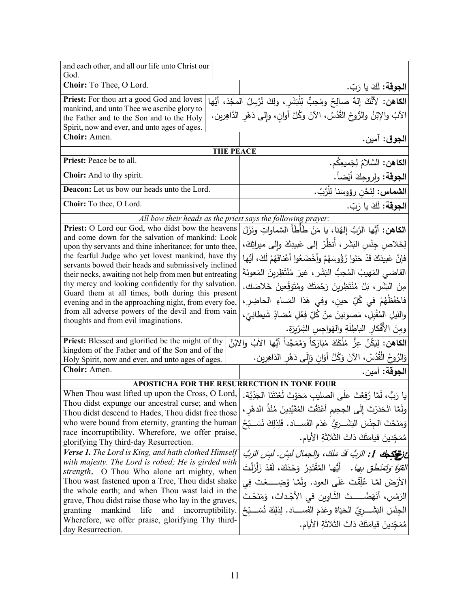| and each other, and all our life unto Christ our<br>God.                                                       |                                                                                         |
|----------------------------------------------------------------------------------------------------------------|-----------------------------------------------------------------------------------------|
| Choir: To Thee, O Lord.                                                                                        | ا <b>لجوقة:</b> لَكَ يا رَبّ.                                                           |
| Priest: For thou art a good God and lovest                                                                     | ا <b>لكاهن:</b> لأَنَّكَ إلهٌ صالِحٌ ومُحِبٌّ لِلْبَشَرِ، ولكَ نُرْسِلُ المجْدَ، أيُّها |
| mankind, and unto Thee we ascribe glory to                                                                     | الآبُ والإِبْنُ والرُّوحُ القُدُسُ، الآنَ وكُلَّ أوانٍ، وإِلـى دَهْرِ الدَّاهِرِينِ.    |
| the Father and to the Son and to the Holy<br>Spirit, now and ever, and unto ages of ages.                      |                                                                                         |
| Choir: Amen.                                                                                                   | ا <b>لجوق</b> : آمين.                                                                   |
| <b>THE PEACE</b>                                                                                               |                                                                                         |
| Priest: Peace be to all.                                                                                       | ا <b>لكاهن:</b> السَّلامُ لِجَميعِكُم.                                                  |
| Choir: And to thy spirit.                                                                                      | ا <b>لجوقة:</b> ولروجِكَ أيْضاً.                                                        |
| Deacon: Let us bow our heads unto the Lord.                                                                    | ا <b>لشماس:</b> لِنَحْن رؤوسَنا لِلْرَّبّ.                                              |
| Choir: To thee, O Lord.                                                                                        | ا <b>لجوقة:</b> لَكَ يا رَبّ.                                                           |
| All bow their heads as the priest says the following prayer:                                                   |                                                                                         |
| Priest: O Lord our God, who didst bow the heavens                                                              | ا <b>لكاهن:</b> أيُّها الرَّبُّ إلهُنا، يا مَنْ طَأَطَأَ السَّماواتِ ونَزَلَ            |
| and come down for the salvation of mankind: Look<br>upon thy servants and thine inheritance; for unto thee,    | لِخَلاصِ جِنْسِ النَشَرِ ، أَنظُرْ إلى عَبيدِكَ وإلى ميراثِكَ،                          |
| the fearful Judge who yet lovest mankind, have thy                                                             | فإنَّ عَبِيدَكَ قَدْ حَنَوا رُؤُوسَهُمْ وأَخْضَعُوا أَعْناقَهُمْ لَكَ، أَيُّها          |
| servants bowed their heads and submissively inclined<br>their necks, awaiting not help from men but entreating | القاضي المَهيبُ المُحِبُّ البَشَرِ ، غيرَ مُنْتَظِرِينَ المَعونَةَ                      |
| thy mercy and looking confidently for thy salvation.                                                           | مِنَ البَشَرِ ، بَلْ مُنْتَظِرِينَ رَحْمَتَكَ وِمُتَوَقِّعِينَ خَلاصَك.                 |
| Guard them at all times, both during this present                                                              |                                                                                         |
| evening and in the approaching night, from every foe,                                                          | فاحْفَظْهُمْ في كُلِّ حين، وفي هَذا المَساءِ الحاضِرِ،                                  |
| from all adverse powers of the devil and from vain<br>thoughts and from evil imaginations.                     | والليلِ المُقْبِلِ، مَصونينَ مِنْ كُلِّ فِعْلِ مُضادِّ شَيطانِيّ،                       |
|                                                                                                                | ومِنَ الأَفْكارِ الباطِلَةِ والهَواجِسِ الشِرِّرِرَةِ.                                  |
| <b>Priest:</b> Blessed and glorified be the might of thy<br>kingdom of the Father and of the Son and of the    | ا <b>لكاهن:</b> لِيَكُنْ عِزُّ مُلْكَكَ مُبَارَكاً وَمُمَجَّداً أَيُّها الآبُ والابْنُ  |
| Holy Spirit, now and ever, and unto ages of ages.                                                              | وَالرُوحُ الْقُدُسْ، الآنَ وَكُلَّ أَوَانٍ وَإِلَى دَهْرِ الدَاهِرِينِ.                 |
| Choir: Amen.                                                                                                   | ا <b>لجوقة:</b> آمين.                                                                   |
| APOSTICHA FOR THE RESURRECTION IN TONE FOUR                                                                    |                                                                                         |
| When Thou wast lifted up upon the Cross, O Lord,                                                               | يا رَبُّ، لَمَّا رُفعْتَ علَى الصليب مَحَوْتَ لَعْنَتَنَا الْجَدِّيَّة.                 |
| Thou didst expunge our ancestral curse; and when                                                               | ولْمَّا انْحَدَرْتَ إِلَى الْجِحِيمِ أَعْتَقْتَ الْمُقَيَّدِينَ مُنْذُ الدهْرِ ،        |
| Thou didst descend to Hades, Thou didst free those<br>who were bound from eternity, granting the human         |                                                                                         |
| race incorruptibility. Wherefore, we offer praise,                                                             | وَمَنَحْتَ الْجِنْسَ النَشَــرِيَّ عَدَم الفَســـاد. فَلِذلِكَ نُسَــبِّحُ              |
| glorifying Thy third-day Resurrection.                                                                         | مُمَجِّدينَ قيامَتَكَ ذاتَ الثَلاثَةِ الأيام.                                           |
| Verse 1. The Lord is King, and hath clothed Himself                                                            | عْ نَصِيْكِهِكَ 1: الرَبُّ قَدْ مَلَكَ، والجمالَ لَبِسْ. لَبِسَ الرَبُّ                 |
| with majesty. The Lord is robed; He is girded with                                                             | <i>القوّةَ وَتَمَنْطَقَ بِها.</i> أَيُّها المُقْتَدِرُ ۖ وَحْدَكَ، لَقَدْ زَلْزَلْتَ    |
| strength. O Thou Who alone art mighty, when                                                                    |                                                                                         |
| Thou wast fastened upon a Tree, Thou didst shake<br>the whole earth; and when Thou wast laid in the            | الأَرْضَ لَمَّـا عُلِّقْتَ عَلَى العود. ولَمَّـا وُضِـــــعْتَ فِي                      |
| grave, Thou didst raise those who lay in the graves,                                                           | الرَمْسِ، أَنْهَضْــــتَ الثَـاوِينِ في الأَجْداث، وَمَنَحْتَ                           |
| mankind life<br>granting<br>and incorruptibility.                                                              | الْجِنْسَ النِّشَـــرِيَّ الْحَيَاةَ وعَدَمَ الفَســــاد. لِذَلِكَ نُسَـــبِّحُ         |
| Wherefore, we offer praise, glorifying Thy third-                                                              | مُمَجّدينَ قيامَتَكَ ذاتَ الثّلاثَةِ الأيام.                                            |
| day Resurrection.                                                                                              |                                                                                         |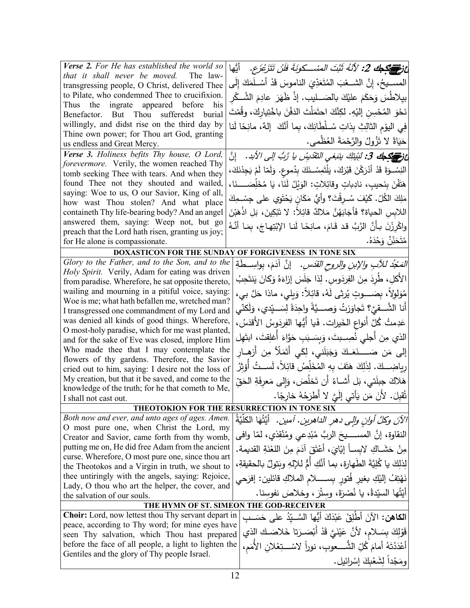| Verse 2. For He has established the world so                                                        | عْ <i>وَ<del>حَمَدَاً لِمَعْ 2:</del> لأَنّهُ ثَبَّتَ المسْـــكونَةَ فَلَنْ تَتَزَعْزَع.</i> أَيُّها   |
|-----------------------------------------------------------------------------------------------------|--------------------------------------------------------------------------------------------------------|
| that it shall never be moved. The law-                                                              | المســيحُ، إنَّ الشـــعْبَ المُتَعَدِّيَ الناموسَ قَدْ أَسْــلَمَكَ إِلَـى                             |
| transgressing people, O Christ, delivered Thee<br>to Pilate, who condemned Thee to crucifixion.     |                                                                                                        |
| Thus the ingrate appeared before<br>his                                                             | بيِلاطَسَ وَحَكَمَ علَيْكَ بالصَـــليب. إذْ ظَهَرَ عادِمَ الشُــكْر                                    |
| Benefactor. But Thou sufferedst<br>burial                                                           | نَحْوَ المُحْسِنِ إليْهِ. لكِنَّكَ احتَمَلْتَ الدَفْنَ باخْتِيارِكَ، وقُمْتَ                           |
| willingly, and didst rise on the third day by                                                       | فِي اليوْمِ الثالِثِ بِذاتِ سُــلْطَانِكَ، بِما أَنَّكَ  إلهٌ، مانِحًا لَنا                            |
| Thine own power; for Thou art God, granting                                                         | حَيَاةً لا تَزُولُ والرَّحْمَةَ العُظْمي.                                                              |
| us endless and Great Mercy.                                                                         |                                                                                                        |
| Verse 3. Holiness befits Thy house, O Lord,<br>forevermore. Verily, the women reached Thy           | عْ فَ <del>ِ مِنْ كِمَا</del> 3: لَبِّيتِكَ ينَبِغي التَقْدِي <i>سُ يا رَبُّ إلى الأَ</i> بد.    إِنَّ |
| tomb seeking Thee with tears. And when they                                                         | النِسْــوَةَ قَدْ أَدْرَكْنَ قَبْرَكَ، يَلْتَمِسْــذَكَ بِدُموعٍ. وَلَمّا لَمْ يَجِدْنَكَ،             |
| found Thee not they shouted and wailed,                                                             | هَتَّفْنَ بِنَحيبٍ، نادِباتٍ وقائِلاتٍ: الوَيْلُ لَذَا، يَا مُخَلِّصَــــذَا،                          |
| saying: Woe to us, O our Savior, King of all,                                                       |                                                                                                        |
| how wast Thou stolen? And what place                                                                | مَلِكَ الكُلِّ. كَيْفَ سُـرِقْتَ؟ وأَيُّ مَكَانٍ يَحْتَوِي على جِسْـمِكَ                               |
| containeth Thy life-bearing body? And an angel                                                      | اللابِسِ الحياة؟ فَأَجَابَهُنَّ مَلاكٌ قائِلاً: لا تَبْكِينَ، بَلِ اذْهَبْنَ                           |
| answered them, saying: Weep not, but go                                                             | واكْرِزْنَ بِأَنَّ الرَّبَّ قد قَامَ، مـانِحَـا لَنـا الإِبْتِهـاجَ، بِمَـا أَنَّـهُ                   |
| preach that the Lord hath risen, granting us joy;                                                   | مُتَحَنِّنٌ وَحْدَهُ.                                                                                  |
| for He alone is compassionate.                                                                      |                                                                                                        |
| Glory to the Father, and to the Son, and to the                                                     | DOXASTICON FOR THE SUNDAY OF FORGIVENESS IN TONE SIX                                                   |
| Holy Spirit. Verily, Adam for eating was driven                                                     | <i>التَعَجْدُ للآبِ والإبنِ والروحِ القدّسِ.</i> إنَّ آدَمَ، بِواسِــطةِ                               |
| from paradise. Wherefore, he sat opposite thereto,                                                  | الأكلِ، طُرِدَ مِنَ الفِرِدَوسِ. لِذا جَلَسَ إزاءَهُ وَكَانَ يَنتَحِبُ                                 |
| wailing and mourning in a pitiful voice, saying:                                                    | مُوَلِولاً، بِصَــــوتٍ يُرِثي لَهُ، قائِلاً: وَيلي، ماذا حَلَّ بي،                                    |
| Woe is me; what hath befallen me, wretched man?                                                     |                                                                                                        |
| I transgressed one commandment of my Lord and                                                       | أنا الشَّــقيَّ؟ تَجاوَزتُ وَصـــدَّةً واحِدَةً لِسَــبِّدي، وَلَكنّـى                                 |
| was denied all kinds of good things. Wherefore,                                                     | عَدِمتُ كُلَّ أنواعِ الخَيراتِ. فَيا أَيُّها الفِرِدَوسُ الأقدَسُ،                                     |
| O most-holy paradise, which for me wast planted,<br>and for the sake of Eve was closed, implore Him | الذي مِن أجلي نُصِــبتَ، وَبِسَـبَبِ حَوَّاءَ أَغلِقتَ، ابتَهِل                                        |
| Who made thee that I may contemplate the                                                            |                                                                                                        |
| flowers of thy gardens. Therefore, the Savior                                                       | إلى مَن صَـــــــنَعَــكَ وَجَبَلَني، لِكَي أَتَمَلّأ مِن أَزهــار                                     |
| cried out to him, saying: I desire not the loss of                                                  | رِياضِـــكَ. لِذَلِكَ هَتَفَ بِهِ المُخَلِّصُ قائِلاً، لَســتُ أَوْثِرُ                                |
| My creation, but that it be saved, and come to the                                                  | هَلاكَ جِبلَتي، بَل أشــاءُ أَن تَخلُصَ، وَإِلـى مَعرِفَةِ الْحَقّ                                     |
| knowledge of the truth; for he that cometh to Me,                                                   |                                                                                                        |
| I shall not cast out.                                                                               | نُقبِلَ. لأنَ مَن يَأْتي إِلَيَّ لا أَطْرَحُهُ خارِجًا.                                                |
|                                                                                                     | THEOTOKION FOR THE RESURRECTION IN TONE SIX                                                            |
| Both now and ever, and unto ages of ages. Amen.<br>O most pure one, when Christ the Lord, my        | الآنَ وكلَّ أوانِ وإلى دهرِ الداهرين. آمين.  أيَّتُهَا الكلَّيَّةُ                                     |
| Creator and Savior, came forth from thy womb,                                                       | النقاوة، إنَّ المســــــيحَ الربَّ مُبْدِعـى ومُنْقِذي، لمّا وافـى                                     |
| putting me on, He did free Adam from the ancient                                                    | مِنْ حَشَـاكِ لِابسـاً إيّايَ، أَعْتَقَ آدَمَ مِنَ اللَّغْنَةِ القديمة.                                |
| curse. Wherefore, O most pure one, since thou art                                                   |                                                                                                        |
| the Theotokos and a Virgin in truth, we shout to                                                    | لذلكَ يا كُلِيَّةَ الطَّهارةِ، بما أَنَّكِ أُمٍّ للإلهِ وبَتولِّ بالحقيقةِ،                            |
| thee untiringly with the angels, saying: Rejoice,                                                   | نَهْتِفُ إليْكِ بغيرِ فُتورِ بِســـــلام الملاكِ قائلين: إفرَحي                                        |
| Lady, O thou who art the helper, the cover, and                                                     | أَيَّتُها السيّدةُ، يا نُصْرَةَ، وسِتْرَ ، وخلاصَ نفوسنا.                                              |
| the salvation of our souls.                                                                         | THE HYMN OF ST. SIMEON THE GOD-RECEIVER                                                                |
| Choir: Lord, now lettest thou Thy servant depart in                                                 |                                                                                                        |
| peace, according to Thy word; for mine eyes have                                                    | ا <b>لكاهن:</b> الآنَ أَطْلِقْ عَبْدَكَ أَيُّها السَّــيّدُ على حَسَــب                                |
| seen Thy salvation, which Thou hast prepared                                                        | قَوْلِكَ بِسَــلام، لأَنَّ عَيْنَيَّ قَدْ أَبْصَــرَتا خَلاصَــك الذي                                  |
| before the face of all people, a light to lighten the                                               | أَعْدَدْتَهُ أَمامَ كُلِّ الشُّــــعوبِ، نوراً لاسْــــتِعْلان الأَمَم،                                |
| Gentiles and the glory of Thy people Israel.                                                        | ومَجْداً لِشَعْبِكَ إِسْرائيل.                                                                         |
|                                                                                                     |                                                                                                        |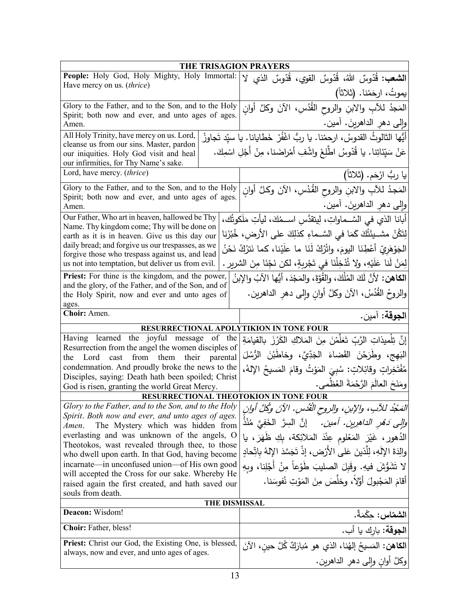| <b>THE TRISAGION PRAYERS</b>                                                                           |                                                                                  |
|--------------------------------------------------------------------------------------------------------|----------------------------------------------------------------------------------|
| People: Holy God, Holy Mighty, Holy Immortal:<br>Have mercy on us. (thrice)                            | ا <b>لشعب:</b> قُدّوسٌ اللهُ، قُدّوسٌ القويِ، قُدّوسٌ الذي لا                    |
|                                                                                                        | يموتُ، ارحَمْنا. (ثلاثاً)                                                        |
| Glory to the Father, and to the Son, and to the Holy                                                   | المَجدُ للأبِ والابنِ والروحِ القُدُسِ، الآنَ وكلَّ أوانِ                        |
| Spirit; both now and ever, and unto ages of ages.<br>Amen.                                             | وإِلى دهرِ الداهرينَ. أمين.                                                      |
| All Holy Trinity, have mercy on us. Lord,                                                              | أَيُّها الثالوثُ القدوسُ، ارحمْنا. يا ربُّ اغْفُرْ خَطايانا. يا سيّد تَجاوزْ     |
| cleanse us from our sins. Master, pardon                                                               |                                                                                  |
| our iniquities. Holy God visit and heal<br>our infirmities, for Thy Name's sake.                       | عَنْ سَيِّئاتِنا. يا قُدّوسُ اطّلِعْ واشْفِ أمْراضَنا، مِنْ أَجْلِ اسْمِكَ.      |
| Lord, have mercy. (thrice)                                                                             | يا ربُ ارْحَم. (ثلاثاً)                                                          |
| Glory to the Father, and to the Son, and to the Holy                                                   | المَجدُ للأَبِ والابنِ والروح القُدُسِ، الآنَ وكلَّ أُوان                        |
| Spirit; both now and ever, and unto ages of ages.                                                      | وإلى دهر الداهرينَ. أمين.                                                        |
| Amen.<br>Our Father, Who art in heaven, hallowed be Thy                                                |                                                                                  |
| Name. Thy kingdom come; Thy will be done on                                                            | أبانا الذي في السَّــماواتِ، لِيتقدَّس اســمُكَ، ليأتِ مَلَكوتُك،                |
| earth as it is in heaven. Give us this day our                                                         | لِتَكُنْ مشــيئَتُكَ كَمَا فـى السَّــماءِ كذلِكَ علـى الأرض، خُبْزَنا           |
| daily bread; and forgive us our trespasses, as we<br>forgive those who trespass against us, and lead   | الجَوْهَرِيّ أَعْطِنَا اليومَ، واتْرُكْ لَنَا ما علَيْنا، كما نَترُكُ نَحْنُ     |
| us not into temptation, but deliver us from evil.                                                      | لِمَنْ لَنا عَلَيْهِ، ولا تُدْخِلْنَا في تَجْرِبِةٍ، لكن نَجِّنَا مِنَ الشريرِ . |
| Priest: For thine is the kingdom, and the power,                                                       | ا <b>لكاهن:</b> لأنَّ لَكَ المُلْكَ، والقُوَّةِ، والمَجْدَ، أيُّها الآبُ والإبنُ |
| and the glory, of the Father, and of the Son, and of<br>the Holy Spirit, now and ever and unto ages of | والروحُ القُدُسُ، الأَنَ وكُلَّ أُوانٍ وإِلَى دهرِ الداهرينِ.                    |
| ages.                                                                                                  |                                                                                  |
| Choir: Amen.                                                                                           | ا <b>لجوقة:</b> آمين.                                                            |
| RESURRECTIONAL APOLYTIKION IN TONE FOUR                                                                |                                                                                  |
| Having learned the joyful message of the<br>Resurrection from the angel the women disciples of         | إِنَّ تِلْمِيذَاتِ الرَّبِّ تَعَلَّمْنَ مِنَ الْمَلاكِ الْكَرْزَ بِالْقِيامَةِ   |
| Lord cast from them their<br>parental<br>the                                                           | البَهج، وطَرَحْنَ القَضاءَ الْجَدِّيَّ، وخاطَبْنَ الرُّسُلَ                      |
| condemnation. And proudly broke the news to the                                                        | مُفْتَخِراتٍ وقائِلاتٍ: سُبِيَ المَوْتُ وقامَ المَسيحُ الإِلهُ،                  |
| Disciples, saying: Death hath been spoiled; Christ<br>God is risen, granting the world Great Mercy.    | ومَنَحَ العالَمَ الرَّحْمَةَ العُظْمي.                                           |
| RESURRECTIONAL THEOTOKION IN TONE FOUR                                                                 |                                                                                  |
| Glory to the Father, and to the Son, and to the Holy                                                   | المَجْدُ للآبِ، والإبنِ، والروح القُدْسِ. الآنَ وكُلَّ أُوانِ                    |
| Spirit. Both now and ever, and unto ages of ages.<br>The Mystery which was hidden from<br>Amen.        | <i>والِي دَهْرِ الداهرِينِ. أمين.</i> إنَّ السِرَّ الخَفِيَّ مُنْذُ              |
| everlasting and was unknown of the angels, O                                                           | الدُهورِ ، غَيْرَ المَعْلومِ عِنْدَ المَلائِكة، بِكِ ظَهَرَ، يا                  |
| Theotokos, wast revealed through thee, to those                                                        | والِدَةَ الإِلَهِ، لِلَّذينَ عَلَى الأَرْضِ، إِذْ تَجَسَّدَ الإِلهُ بِاتِّحادٍ   |
| who dwell upon earth. In that God, having become<br>incarnate—in unconfused union—of His own good      |                                                                                  |
| will accepted the Cross for our sake. Whereby He                                                       | لا تَشَوَّشَ فيهِ. وقَبِلَ الصليبَ طَوْعاً مِنْ أَجْلِنا، وبِهِ                  |
| raised again the first created, and hath saved our                                                     | أَقَامَ المَجْبولَ أَوَّلاً، وخلَّصَ مِنَ المَوْتِ نُفوسَنا.                     |
| souls from death.<br>THE DISMISSAL                                                                     |                                                                                  |
| Deacon: Wisdom!                                                                                        | ا <b>لشماس:</b> حِكْمَةً.                                                        |
| <b>Choir:</b> Father, bless!                                                                           | ا <b>لجوقة:</b> بارك يا أب.                                                      |
| <b>Priest:</b> Christ our God, the Existing One, is blessed,                                           |                                                                                  |
| always, now and ever, and unto ages of ages.                                                           | ا <b>لكاهن:</b> المَسيحُ إلهُنا، الذي هو مُبارَكٌ كُلَّ حينِ، الآنَ              |
|                                                                                                        | وكلَّ أُوانِ وَإِلَى دَهْرِ الداهرينِ.                                           |